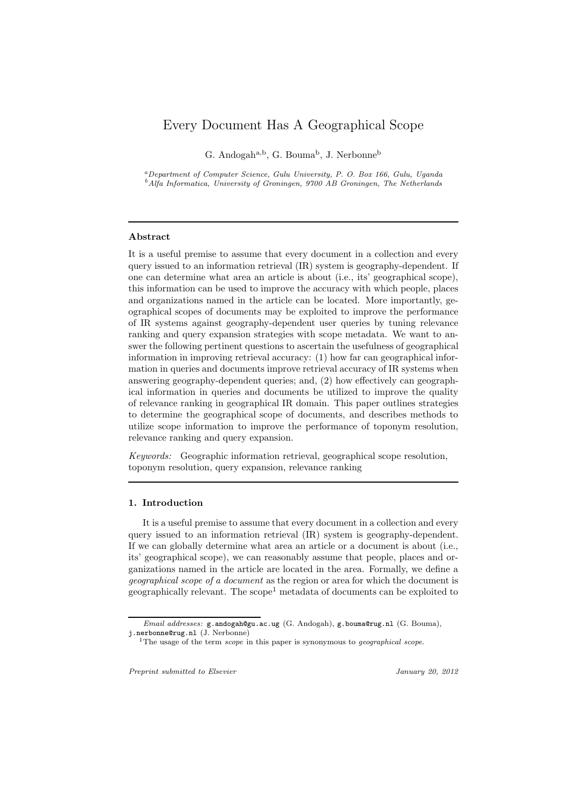# Every Document Has A Geographical Scope

G. Andogah<sup>a,b</sup>, G. Bouma<sup>b</sup>, J. Nerbonne<sup>b</sup>

<sup>a</sup>*Department of Computer Science, Gulu University, P. O. Box 166, Gulu, Uganda* <sup>b</sup>*Alfa Informatica, University of Groningen, 9700 AB Groningen, The Netherlands*

# Abstract

It is a useful premise to assume that every document in a collection and every query issued to an information retrieval (IR) system is geography-dependent. If one can determine what area an article is about (i.e., its' geographical scope), this information can be used to improve the accuracy with which people, places and organizations named in the article can be located. More importantly, geographical scopes of documents may be exploited to improve the performance of IR systems against geography-dependent user queries by tuning relevance ranking and query expansion strategies with scope metadata. We want to answer the following pertinent questions to ascertain the usefulness of geographical information in improving retrieval accuracy: (1) how far can geographical information in queries and documents improve retrieval accuracy of IR systems when answering geography-dependent queries; and, (2) how effectively can geographical information in queries and documents be utilized to improve the quality of relevance ranking in geographical IR domain. This paper outlines strategies to determine the geographical scope of documents, and describes methods to utilize scope information to improve the performance of toponym resolution, relevance ranking and query expansion.

*Keywords:* Geographic information retrieval, geographical scope resolution, toponym resolution, query expansion, relevance ranking

# 1. Introduction

It is a useful premise to assume that every document in a collection and every query issued to an information retrieval (IR) system is geography-dependent. If we can globally determine what area an article or a document is about (i.e., its' geographical scope), we can reasonably assume that people, places and organizations named in the article are located in the area. Formally, we define a *geographical scope of a document* as the region or area for which the document is  $geographically relevant.$  The  $scope<sup>1</sup> metadata of documents can be exploited to$ 

*Preprint submitted to Elsevier January 20, 2012*

*Email addresses:* g.andogah@gu.ac.ug (G. Andogah), g.bouma@rug.nl (G. Bouma), j.nerbonne@rug.nl (J. Nerbonne)

<sup>1</sup>The usage of the term *scope* in this paper is synonymous to *geographical scope*.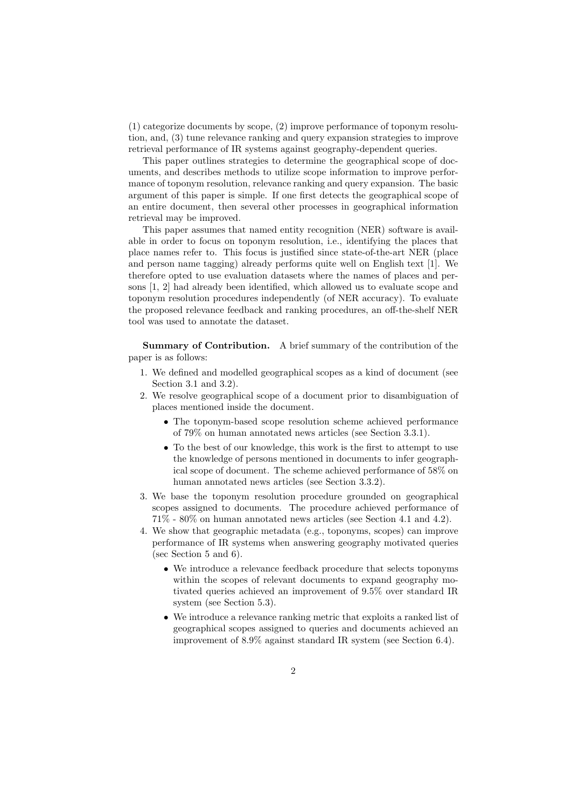(1) categorize documents by scope, (2) improve performance of toponym resolution, and, (3) tune relevance ranking and query expansion strategies to improve retrieval performance of IR systems against geography-dependent queries.

This paper outlines strategies to determine the geographical scope of documents, and describes methods to utilize scope information to improve performance of toponym resolution, relevance ranking and query expansion. The basic argument of this paper is simple. If one first detects the geographical scope of an entire document, then several other processes in geographical information retrieval may be improved.

This paper assumes that named entity recognition (NER) software is available in order to focus on toponym resolution, i.e., identifying the places that place names refer to. This focus is justified since state-of-the-art NER (place and person name tagging) already performs quite well on English text [1]. We therefore opted to use evaluation datasets where the names of places and persons [1, 2] had already been identified, which allowed us to evaluate scope and toponym resolution procedures independently (of NER accuracy). To evaluate the proposed relevance feedback and ranking procedures, an off-the-shelf NER tool was used to annotate the dataset.

Summary of Contribution. A brief summary of the contribution of the paper is as follows:

- 1. We defined and modelled geographical scopes as a kind of document (see Section 3.1 and 3.2).
- 2. We resolve geographical scope of a document prior to disambiguation of places mentioned inside the document.
	- The toponym-based scope resolution scheme achieved performance of 79% on human annotated news articles (see Section 3.3.1).
	- To the best of our knowledge, this work is the first to attempt to use the knowledge of persons mentioned in documents to infer geographical scope of document. The scheme achieved performance of 58% on human annotated news articles (see Section 3.3.2).
- 3. We base the toponym resolution procedure grounded on geographical scopes assigned to documents. The procedure achieved performance of 71% - 80% on human annotated news articles (see Section 4.1 and 4.2).
- 4. We show that geographic metadata (e.g., toponyms, scopes) can improve performance of IR systems when answering geography motivated queries (sec Section 5 and 6).
	- We introduce a relevance feedback procedure that selects toponyms within the scopes of relevant documents to expand geography motivated queries achieved an improvement of 9.5% over standard IR system (see Section 5.3).
	- We introduce a relevance ranking metric that exploits a ranked list of geographical scopes assigned to queries and documents achieved an improvement of 8.9% against standard IR system (see Section 6.4).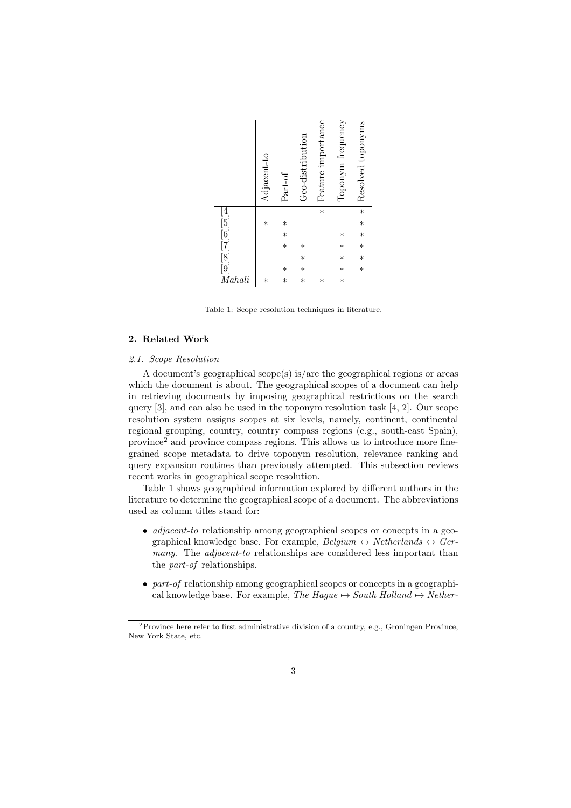|                                                                                    | Adjacent-to | Part-of | Geo-distribution | Feature importance | Toponym frequency | Resolved toponyms |
|------------------------------------------------------------------------------------|-------------|---------|------------------|--------------------|-------------------|-------------------|
|                                                                                    |             |         |                  | $\ast$             |                   | $\ast$            |
|                                                                                    | $\ast$      | $\ast$  |                  |                    |                   | $\ast$            |
|                                                                                    |             | $\ast$  |                  |                    | $\ast$            | $\ast$            |
|                                                                                    |             | $\ast$  | $\ast$           |                    | $\ast$            | $\ast$            |
|                                                                                    |             |         | $\ast$           |                    | $\ast$            | $\ast$            |
|                                                                                    |             | $\ast$  | $\ast$           |                    | $\ast$            | $\ast$            |
| $\begin{array}{c} [4] \ [5] \ [6] \ [7] \ [8] \ [9] \ \textit{Mahali} \end{array}$ | $\ast$      | $\ast$  | $\ast$           | $\ast$             | $\ast$            |                   |
|                                                                                    |             |         |                  |                    |                   |                   |

Table 1: Scope resolution techniques in literature.

# 2. Related Work

# *2.1. Scope Resolution*

A document's geographical scope(s) is/are the geographical regions or areas which the document is about. The geographical scopes of a document can help in retrieving documents by imposing geographical restrictions on the search query [3], and can also be used in the toponym resolution task [4, 2]. Our scope resolution system assigns scopes at six levels, namely, continent, continental regional grouping, country, country compass regions (e.g., south-east Spain), province<sup>2</sup> and province compass regions. This allows us to introduce more finegrained scope metadata to drive toponym resolution, relevance ranking and query expansion routines than previously attempted. This subsection reviews recent works in geographical scope resolution.

Table 1 shows geographical information explored by different authors in the literature to determine the geographical scope of a document. The abbreviations used as column titles stand for:

- *adjacent-to* relationship among geographical scopes or concepts in a geographical knowledge base. For example,  $Belaium \leftrightarrow Netherlands \leftrightarrow Ger$ *many*. The *adjacent-to* relationships are considered less important than the *part-of* relationships.
- *part-of* relationship among geographical scopes or concepts in a geographical knowledge base. For example, *The Haque*  $\rightarrow$  *South Holland*  $\rightarrow$  *Nether-*

<sup>2</sup>Province here refer to first administrative division of a country, e.g., Groningen Province, New York State, etc.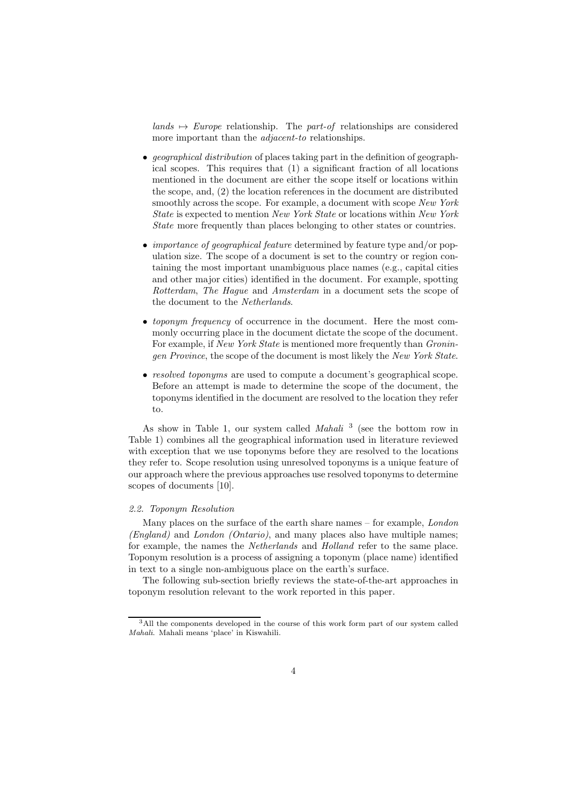$lands \rightarrow Europe$  relationship. The *part-of* relationships are considered more important than the *adjacent-to* relationships.

- *geographical distribution* of places taking part in the definition of geographical scopes. This requires that (1) a significant fraction of all locations mentioned in the document are either the scope itself or locations within the scope, and, (2) the location references in the document are distributed smoothly across the scope. For example, a document with scope *New York State* is expected to mention *New York State* or locations within *New York State* more frequently than places belonging to other states or countries.
- *importance of geographical feature* determined by feature type and/or population size. The scope of a document is set to the country or region containing the most important unambiguous place names (e.g., capital cities and other major cities) identified in the document. For example, spotting *Rotterdam*, *The Hague* and *Amsterdam* in a document sets the scope of the document to the *Netherlands*.
- *toponym frequency* of occurrence in the document. Here the most commonly occurring place in the document dictate the scope of the document. For example, if *New York State* is mentioned more frequently than *Groningen Province*, the scope of the document is most likely the *New York State*.
- *resolved toponyms* are used to compute a document's geographical scope. Before an attempt is made to determine the scope of the document, the toponyms identified in the document are resolved to the location they refer to.

As show in Table 1, our system called *Mahali* <sup>3</sup> (see the bottom row in Table 1) combines all the geographical information used in literature reviewed with exception that we use toponyms before they are resolved to the locations they refer to. Scope resolution using unresolved toponyms is a unique feature of our approach where the previous approaches use resolved toponyms to determine scopes of documents [10].

### *2.2. Toponym Resolution*

Many places on the surface of the earth share names – for example, *London (England)* and *London (Ontario)*, and many places also have multiple names; for example, the names the *Netherlands* and *Holland* refer to the same place. Toponym resolution is a process of assigning a toponym (place name) identified in text to a single non-ambiguous place on the earth's surface.

The following sub-section briefly reviews the state-of-the-art approaches in toponym resolution relevant to the work reported in this paper.

<sup>&</sup>lt;sup>3</sup>All the components developed in the course of this work form part of our system called *Mahali*. Mahali means 'place' in Kiswahili.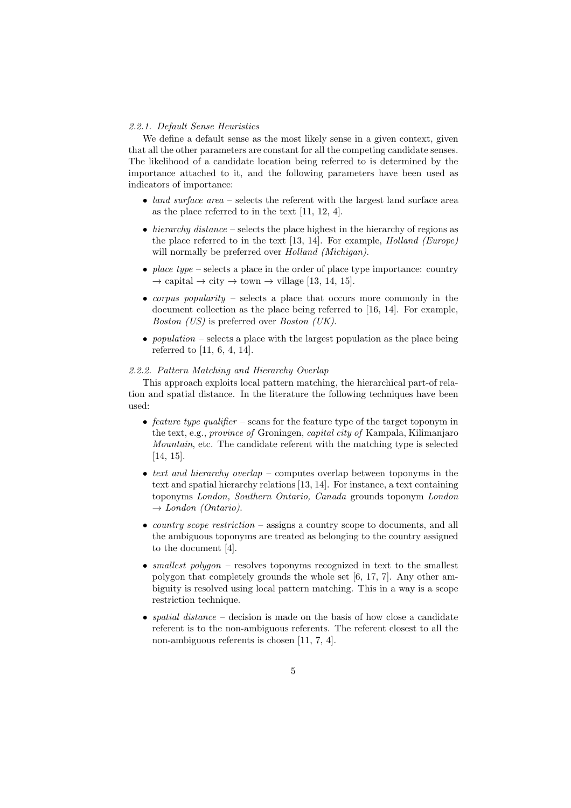# *2.2.1. Default Sense Heuristics*

We define a default sense as the most likely sense in a given context, given that all the other parameters are constant for all the competing candidate senses. The likelihood of a candidate location being referred to is determined by the importance attached to it, and the following parameters have been used as indicators of importance:

- *land surface area* selects the referent with the largest land surface area as the place referred to in the text [11, 12, 4].
- *hierarchy distance* selects the place highest in the hierarchy of regions as the place referred to in the text [13, 14]. For example, *Holland (Europe)* will normally be preferred over *Holland (Michigan)*.
- *place type* selects a place in the order of place type importance: country  $\rightarrow$  capital  $\rightarrow$  city  $\rightarrow$  town  $\rightarrow$  village [13, 14, 15].
- *corpus popularity* selects a place that occurs more commonly in the document collection as the place being referred to [16, 14]. For example, *Boston (US)* is preferred over *Boston (UK)*.
- *population* selects a place with the largest population as the place being referred to [11, 6, 4, 14].

#### *2.2.2. Pattern Matching and Hierarchy Overlap*

This approach exploits local pattern matching, the hierarchical part-of relation and spatial distance. In the literature the following techniques have been used:

- *feature type qualifier* scans for the feature type of the target toponym in the text, e.g., *province of* Groningen, *capital city of* Kampala, Kilimanjaro *Mountain*, etc. The candidate referent with the matching type is selected [14, 15].
- *text and hierarchy overlap* computes overlap between toponyms in the text and spatial hierarchy relations [13, 14]. For instance, a text containing toponyms *London, Southern Ontario, Canada* grounds toponym *London* → *London (Ontario)*.
- *country scope restriction* assigns a country scope to documents, and all the ambiguous toponyms are treated as belonging to the country assigned to the document [4].
- *smallest polygon* resolves toponyms recognized in text to the smallest polygon that completely grounds the whole set [6, 17, 7]. Any other ambiguity is resolved using local pattern matching. This in a way is a scope restriction technique.
- *spatial distance* decision is made on the basis of how close a candidate referent is to the non-ambiguous referents. The referent closest to all the non-ambiguous referents is chosen [11, 7, 4].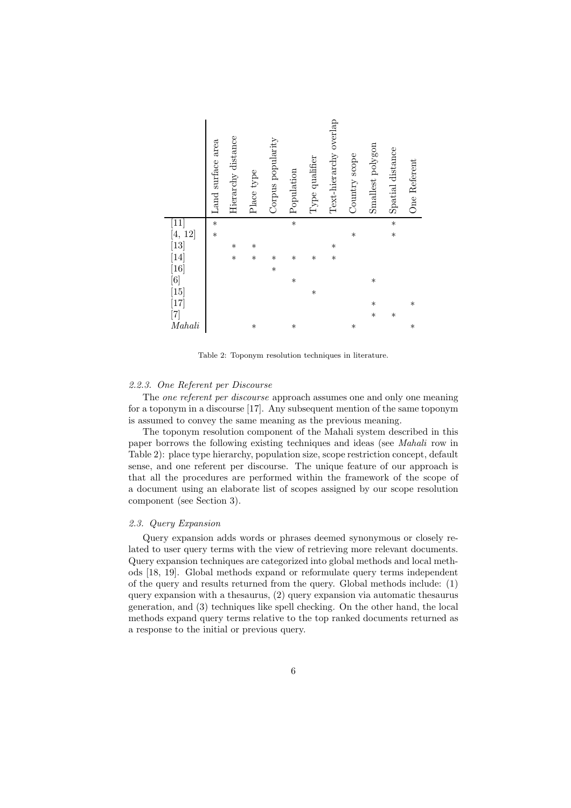|                                                                                                                                                                   | Land surface area | Hierarchy distance | Place type | Corpus popularity | Population | Type qualifier | Text-hierarchy overlap | Country scope | Smallest polygon | Spatial distance | One Referent |
|-------------------------------------------------------------------------------------------------------------------------------------------------------------------|-------------------|--------------------|------------|-------------------|------------|----------------|------------------------|---------------|------------------|------------------|--------------|
|                                                                                                                                                                   | $\ast$            |                    |            |                   | $\ast$     |                |                        |               |                  | $\ast$           |              |
| $\begin{bmatrix} 11 \ 4, 12 \end{bmatrix} \ \begin{bmatrix} 13 \ 14 \end{bmatrix} \ \begin{bmatrix} 16 \ 6 \end{bmatrix} \ \begin{bmatrix} 15 \ 17 \end{bmatrix}$ | $\ast$            |                    |            |                   |            |                |                        | $\ast$        |                  | $\ast$           |              |
|                                                                                                                                                                   |                   | $\ast$             | $\ast$     |                   |            |                | $\ast$                 |               |                  |                  |              |
|                                                                                                                                                                   |                   | $\ast$             | $\ast$     | $\ast$            | $\ast$     | $\ast$         | $\ast$                 |               |                  |                  |              |
|                                                                                                                                                                   |                   |                    |            | $\ast$            |            |                |                        |               |                  |                  |              |
|                                                                                                                                                                   |                   |                    |            |                   | $\ast$     |                |                        |               | $\ast$           |                  |              |
|                                                                                                                                                                   |                   |                    |            |                   |            | $\ast$         |                        |               |                  |                  |              |
|                                                                                                                                                                   |                   |                    |            |                   |            |                |                        |               | $\ast$           |                  | $\ast$       |
|                                                                                                                                                                   |                   |                    |            |                   |            |                |                        |               | $\ast$           | $\ast$           |              |
| Mahali                                                                                                                                                            |                   |                    | $\ast$     |                   | $\ast$     |                |                        | $\ast$        |                  |                  | $\ast$       |

Table 2: Toponym resolution techniques in literature.

# *2.2.3. One Referent per Discourse*

The *one referent per discourse* approach assumes one and only one meaning for a toponym in a discourse [17]. Any subsequent mention of the same toponym is assumed to convey the same meaning as the previous meaning.

The toponym resolution component of the Mahali system described in this paper borrows the following existing techniques and ideas (see *Mahali* row in Table 2): place type hierarchy, population size, scope restriction concept, default sense, and one referent per discourse. The unique feature of our approach is that all the procedures are performed within the framework of the scope of a document using an elaborate list of scopes assigned by our scope resolution component (see Section 3).

# *2.3. Query Expansion*

Query expansion adds words or phrases deemed synonymous or closely related to user query terms with the view of retrieving more relevant documents. Query expansion techniques are categorized into global methods and local methods [18, 19]. Global methods expand or reformulate query terms independent of the query and results returned from the query. Global methods include: (1) query expansion with a thesaurus, (2) query expansion via automatic thesaurus generation, and (3) techniques like spell checking. On the other hand, the local methods expand query terms relative to the top ranked documents returned as a response to the initial or previous query.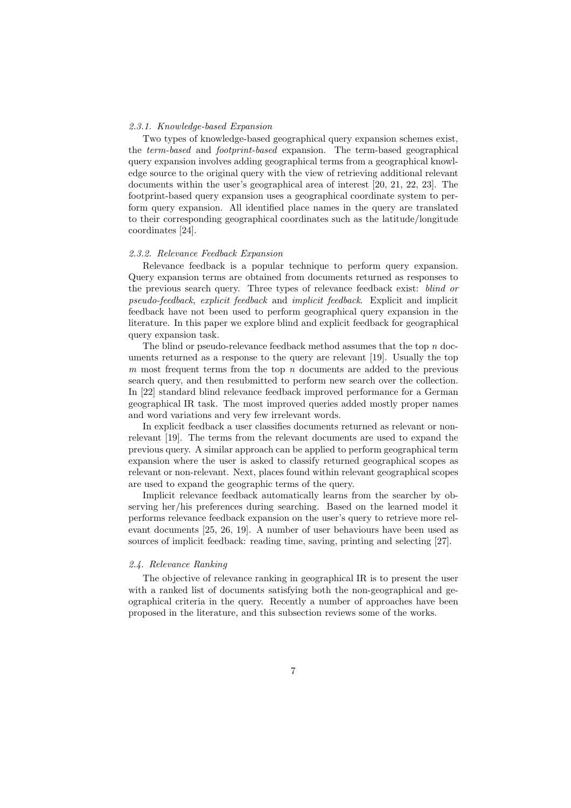### *2.3.1. Knowledge-based Expansion*

Two types of knowledge-based geographical query expansion schemes exist, the *term-based* and *footprint-based* expansion. The term-based geographical query expansion involves adding geographical terms from a geographical knowledge source to the original query with the view of retrieving additional relevant documents within the user's geographical area of interest [20, 21, 22, 23]. The footprint-based query expansion uses a geographical coordinate system to perform query expansion. All identified place names in the query are translated to their corresponding geographical coordinates such as the latitude/longitude coordinates [24].

# *2.3.2. Relevance Feedback Expansion*

Relevance feedback is a popular technique to perform query expansion. Query expansion terms are obtained from documents returned as responses to the previous search query. Three types of relevance feedback exist: *blind or pseudo-feedback*, *explicit feedback* and *implicit feedback*. Explicit and implicit feedback have not been used to perform geographical query expansion in the literature. In this paper we explore blind and explicit feedback for geographical query expansion task.

The blind or pseudo-relevance feedback method assumes that the top *n* documents returned as a response to the query are relevant [19]. Usually the top *m* most frequent terms from the top *n* documents are added to the previous search query, and then resubmitted to perform new search over the collection. In [22] standard blind relevance feedback improved performance for a German geographical IR task. The most improved queries added mostly proper names and word variations and very few irrelevant words.

In explicit feedback a user classifies documents returned as relevant or nonrelevant [19]. The terms from the relevant documents are used to expand the previous query. A similar approach can be applied to perform geographical term expansion where the user is asked to classify returned geographical scopes as relevant or non-relevant. Next, places found within relevant geographical scopes are used to expand the geographic terms of the query.

Implicit relevance feedback automatically learns from the searcher by observing her/his preferences during searching. Based on the learned model it performs relevance feedback expansion on the user's query to retrieve more relevant documents [25, 26, 19]. A number of user behaviours have been used as sources of implicit feedback: reading time, saving, printing and selecting [27].

# *2.4. Relevance Ranking*

The objective of relevance ranking in geographical IR is to present the user with a ranked list of documents satisfying both the non-geographical and geographical criteria in the query. Recently a number of approaches have been proposed in the literature, and this subsection reviews some of the works.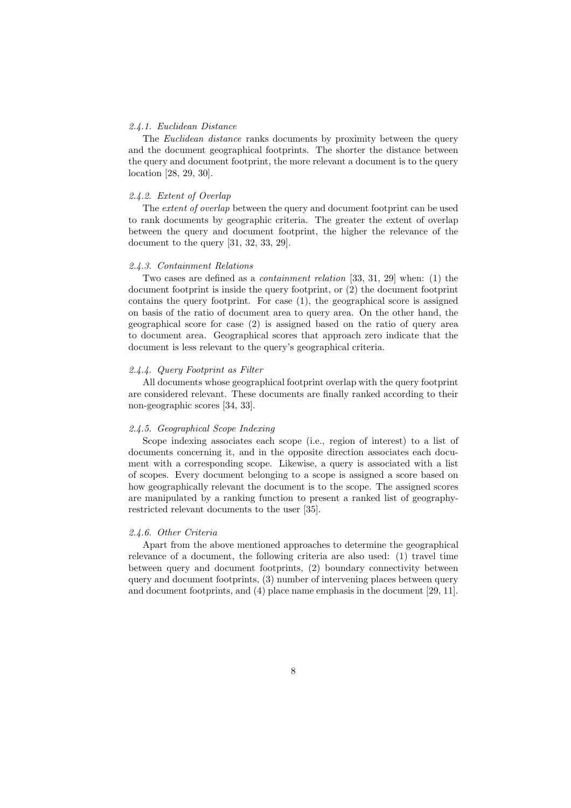# *2.4.1. Euclidean Distance*

The *Euclidean distance* ranks documents by proximity between the query and the document geographical footprints. The shorter the distance between the query and document footprint, the more relevant a document is to the query location [28, 29, 30].

# *2.4.2. Extent of Overlap*

The *extent of overlap* between the query and document footprint can be used to rank documents by geographic criteria. The greater the extent of overlap between the query and document footprint, the higher the relevance of the document to the query [31, 32, 33, 29].

# *2.4.3. Containment Relations*

Two cases are defined as a *containment relation* [33, 31, 29] when: (1) the document footprint is inside the query footprint, or (2) the document footprint contains the query footprint. For case (1), the geographical score is assigned on basis of the ratio of document area to query area. On the other hand, the geographical score for case (2) is assigned based on the ratio of query area to document area. Geographical scores that approach zero indicate that the document is less relevant to the query's geographical criteria.

#### *2.4.4. Query Footprint as Filter*

All documents whose geographical footprint overlap with the query footprint are considered relevant. These documents are finally ranked according to their non-geographic scores [34, 33].

# *2.4.5. Geographical Scope Indexing*

Scope indexing associates each scope (i.e., region of interest) to a list of documents concerning it, and in the opposite direction associates each document with a corresponding scope. Likewise, a query is associated with a list of scopes. Every document belonging to a scope is assigned a score based on how geographically relevant the document is to the scope. The assigned scores are manipulated by a ranking function to present a ranked list of geographyrestricted relevant documents to the user [35].

### *2.4.6. Other Criteria*

Apart from the above mentioned approaches to determine the geographical relevance of a document, the following criteria are also used: (1) travel time between query and document footprints, (2) boundary connectivity between query and document footprints, (3) number of intervening places between query and document footprints, and (4) place name emphasis in the document [29, 11].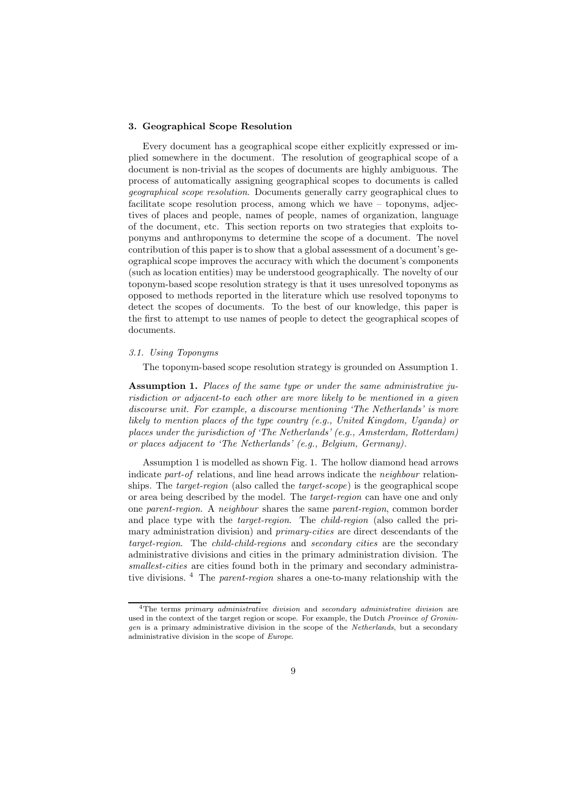# 3. Geographical Scope Resolution

Every document has a geographical scope either explicitly expressed or implied somewhere in the document. The resolution of geographical scope of a document is non-trivial as the scopes of documents are highly ambiguous. The process of automatically assigning geographical scopes to documents is called *geographical scope resolution*. Documents generally carry geographical clues to facilitate scope resolution process, among which we have – toponyms, adjectives of places and people, names of people, names of organization, language of the document, etc. This section reports on two strategies that exploits toponyms and anthroponyms to determine the scope of a document. The novel contribution of this paper is to show that a global assessment of a document's geographical scope improves the accuracy with which the document's components (such as location entities) may be understood geographically. The novelty of our toponym-based scope resolution strategy is that it uses unresolved toponyms as opposed to methods reported in the literature which use resolved toponyms to detect the scopes of documents. To the best of our knowledge, this paper is the first to attempt to use names of people to detect the geographical scopes of documents.

# *3.1. Using Toponyms*

The toponym-based scope resolution strategy is grounded on Assumption 1.

Assumption 1. *Places of the same type or under the same administrative jurisdiction or adjacent-to each other are more likely to be mentioned in a given discourse unit. For example, a discourse mentioning 'The Netherlands' is more likely to mention places of the type country (e.g., United Kingdom, Uganda) or places under the jurisdiction of 'The Netherlands' (e.g., Amsterdam, Rotterdam) or places adjacent to 'The Netherlands' (e.g., Belgium, Germany).*

Assumption 1 is modelled as shown Fig. 1. The hollow diamond head arrows indicate *part-of* relations, and line head arrows indicate the *neighbour* relationships. The *target-region* (also called the *target-scope*) is the geographical scope or area being described by the model. The *target-region* can have one and only one *parent-region*. A *neighbour* shares the same *parent-region*, common border and place type with the *target-region*. The *child-region* (also called the primary administration division) and *primary-cities* are direct descendants of the *target-region*. The *child-child-regions* and *secondary cities* are the secondary administrative divisions and cities in the primary administration division. The *smallest-cities* are cities found both in the primary and secondary administrative divisions. <sup>4</sup> The *parent-region* shares a one-to-many relationship with the

<sup>4</sup>The terms *primary administrative division* and *secondary administrative division* are used in the context of the target region or scope. For example, the Dutch *Province of Groningen* is a primary administrative division in the scope of the *Netherlands*, but a secondary administrative division in the scope of *Europe*.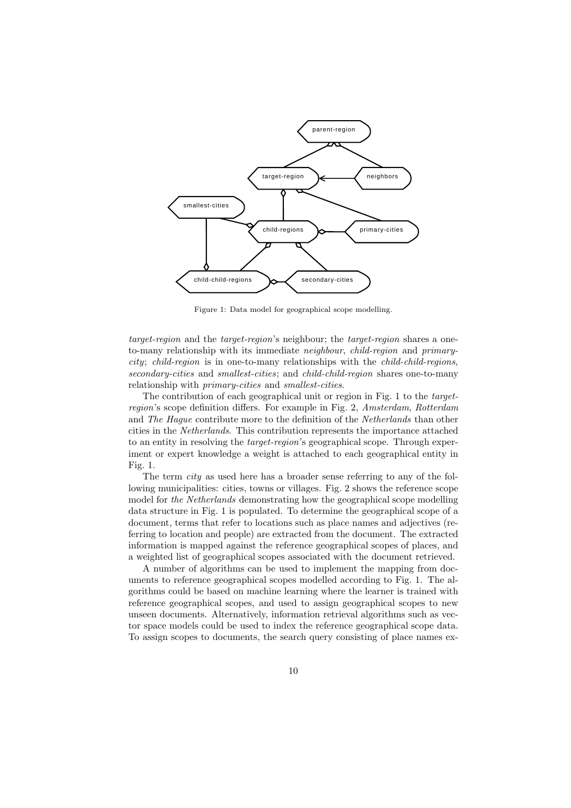

Figure 1: Data model for geographical scope modelling.

*target-region* and the *target-region*'s neighbour; the *target-region* shares a oneto-many relationship with its immediate *neighbour*, *child-region* and *primarycity*; *child-region* is in one-to-many relationships with the *child-child-regions*, *secondary-cities* and *smallest-cities*; and *child-child-region* shares one-to-many relationship with *primary-cities* and *smallest-cities*.

The contribution of each geographical unit or region in Fig. 1 to the *targetregion*'s scope definition differs. For example in Fig. 2, *Amsterdam*, *Rotterdam* and *The Hague* contribute more to the definition of the *Netherlands* than other cities in the *Netherlands*. This contribution represents the importance attached to an entity in resolving the *target-region*'s geographical scope. Through experiment or expert knowledge a weight is attached to each geographical entity in Fig. 1.

The term *city* as used here has a broader sense referring to any of the following municipalities: cities, towns or villages. Fig. 2 shows the reference scope model for *the Netherlands* demonstrating how the geographical scope modelling data structure in Fig. 1 is populated. To determine the geographical scope of a document, terms that refer to locations such as place names and adjectives (referring to location and people) are extracted from the document. The extracted information is mapped against the reference geographical scopes of places, and a weighted list of geographical scopes associated with the document retrieved.

A number of algorithms can be used to implement the mapping from documents to reference geographical scopes modelled according to Fig. 1. The algorithms could be based on machine learning where the learner is trained with reference geographical scopes, and used to assign geographical scopes to new unseen documents. Alternatively, information retrieval algorithms such as vector space models could be used to index the reference geographical scope data. To assign scopes to documents, the search query consisting of place names ex-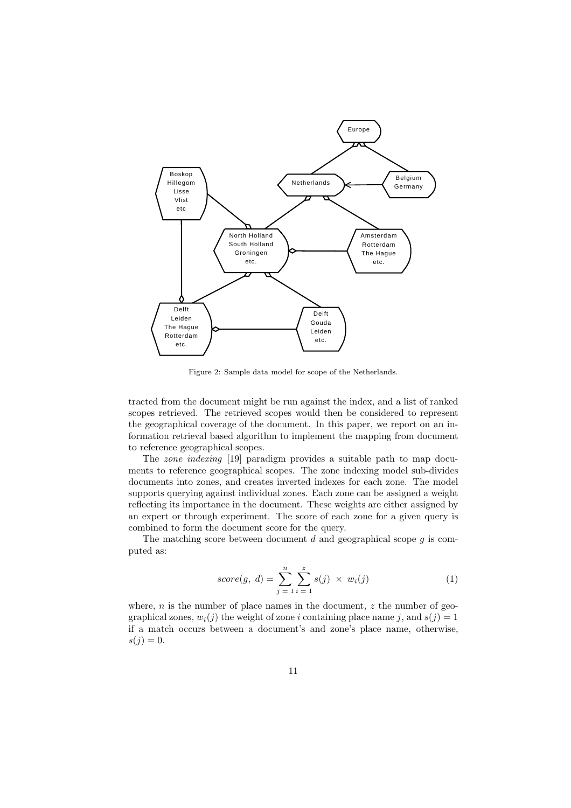

Figure 2: Sample data model for scope of the Netherlands.

tracted from the document might be run against the index, and a list of ranked scopes retrieved. The retrieved scopes would then be considered to represent the geographical coverage of the document. In this paper, we report on an information retrieval based algorithm to implement the mapping from document to reference geographical scopes.

The *zone indexing* [19] paradigm provides a suitable path to map documents to reference geographical scopes. The zone indexing model sub-divides documents into zones, and creates inverted indexes for each zone. The model supports querying against individual zones. Each zone can be assigned a weight reflecting its importance in the document. These weights are either assigned by an expert or through experiment. The score of each zone for a given query is combined to form the document score for the query.

The matching score between document  $d$  and geographical scope  $g$  is computed as:

$$
score(g, d) = \sum_{j=1}^{n} \sum_{i=1}^{z} s(j) \times w_i(j)
$$
 (1)

where,  $n$  is the number of place names in the document,  $z$  the number of geographical zones,  $w_i(j)$  the weight of zone i containing place name j, and  $s(i) = 1$ if a match occurs between a document's and zone's place name, otherwise,  $s(j) = 0.$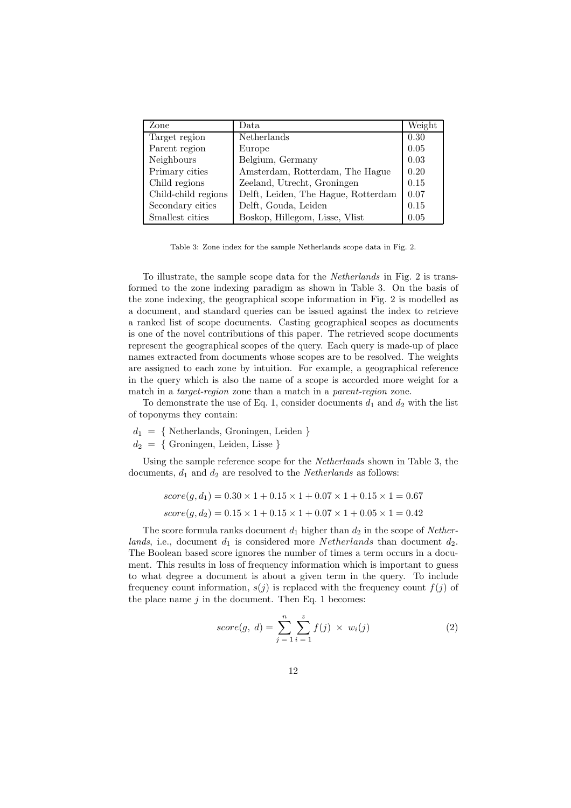| Zone                | Data                                | Weight |
|---------------------|-------------------------------------|--------|
| Target region       | Netherlands                         | 0.30   |
| Parent region       | Europe                              | 0.05   |
| Neighbours          | Belgium, Germany                    | 0.03   |
| Primary cities      | Amsterdam, Rotterdam, The Hague     | 0.20   |
| Child regions       | Zeeland, Utrecht, Groningen         | 0.15   |
| Child-child regions | Delft, Leiden, The Hague, Rotterdam | 0.07   |
| Secondary cities    | Delft, Gouda, Leiden                | 0.15   |
| Smallest cities     | Boskop, Hillegom, Lisse, Vlist      | 0.05   |

Table 3: Zone index for the sample Netherlands scope data in Fig. 2.

To illustrate, the sample scope data for the *Netherlands* in Fig. 2 is transformed to the zone indexing paradigm as shown in Table 3. On the basis of the zone indexing, the geographical scope information in Fig. 2 is modelled as a document, and standard queries can be issued against the index to retrieve a ranked list of scope documents. Casting geographical scopes as documents is one of the novel contributions of this paper. The retrieved scope documents represent the geographical scopes of the query. Each query is made-up of place names extracted from documents whose scopes are to be resolved. The weights are assigned to each zone by intuition. For example, a geographical reference in the query which is also the name of a scope is accorded more weight for a match in a *target-region* zone than a match in a *parent-region* zone.

To demonstrate the use of Eq. 1, consider documents  $d_1$  and  $d_2$  with the list of toponyms they contain:

 $d_1 = \{$  Netherlands, Groningen, Leiden  $\}$ 

 $d_2 = \{$  Groningen, Leiden, Lisse  $\}$ 

Using the sample reference scope for the *Netherlands* shown in Table 3, the documents,  $d_1$  and  $d_2$  are resolved to the *Netherlands* as follows:

$$
score(g, d_1) = 0.30 \times 1 + 0.15 \times 1 + 0.07 \times 1 + 0.15 \times 1 = 0.67
$$
  

$$
score(g, d_2) = 0.15 \times 1 + 0.15 \times 1 + 0.07 \times 1 + 0.05 \times 1 = 0.42
$$

The score formula ranks document  $d_1$  higher than  $d_2$  in the scope of *Netherlands*, i.e., document  $d_1$  is considered more Netherlands than document  $d_2$ . The Boolean based score ignores the number of times a term occurs in a document. This results in loss of frequency information which is important to guess to what degree a document is about a given term in the query. To include frequency count information,  $s(j)$  is replaced with the frequency count  $f(j)$  of the place name  $j$  in the document. Then Eq. 1 becomes:

$$
score(g, d) = \sum_{j=1}^{n} \sum_{i=1}^{z} f(j) \times w_i(j)
$$
 (2)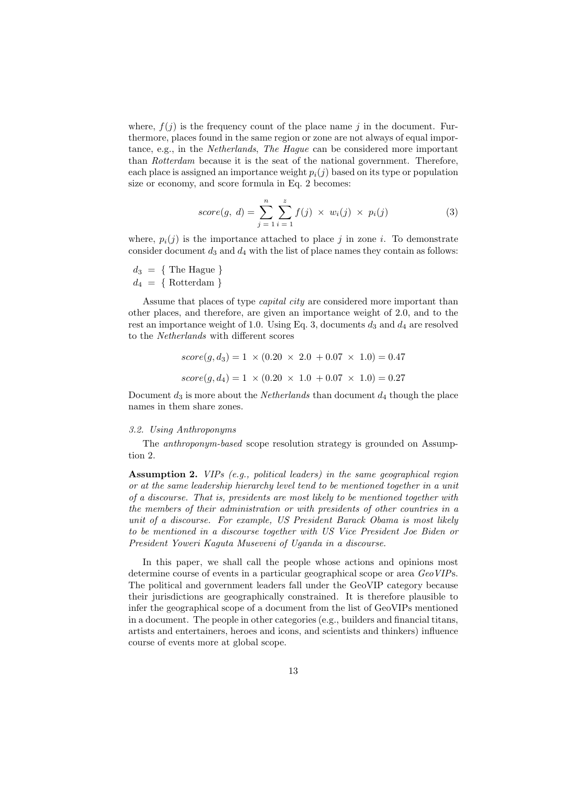where,  $f(i)$  is the frequency count of the place name j in the document. Furthermore, places found in the same region or zone are not always of equal importance, e.g., in the *Netherlands*, *The Hague* can be considered more important than *Rotterdam* because it is the seat of the national government. Therefore, each place is assigned an importance weight  $p_i(j)$  based on its type or population size or economy, and score formula in Eq. 2 becomes:

score(g, d) = 
$$
\sum_{j=1}^{n} \sum_{i=1}^{z} f(j) \times w_i(j) \times p_i(j)
$$
 (3)

where,  $p_i(j)$  is the importance attached to place j in zone i. To demonstrate consider document  $d_3$  and  $d_4$  with the list of place names they contain as follows:

 $d_3 = \{$  The Hague  $\}$  $d_4 = \{ Rottedam \}$ 

Assume that places of type *capital city* are considered more important than other places, and therefore, are given an importance weight of 2.0, and to the rest an importance weight of 1.0. Using Eq. 3, documents  $d_3$  and  $d_4$  are resolved to the *Netherlands* with different scores

$$
score(g, d_3) = 1 \times (0.20 \times 2.0 + 0.07 \times 1.0) = 0.47
$$
  

$$
score(g, d_4) = 1 \times (0.20 \times 1.0 + 0.07 \times 1.0) = 0.27
$$

Document  $d_3$  is more about the *Netherlands* than document  $d_4$  though the place names in them share zones.

#### *3.2. Using Anthroponyms*

The *anthroponym-based* scope resolution strategy is grounded on Assumption 2.

Assumption 2. *VIPs (e.g., political leaders) in the same geographical region or at the same leadership hierarchy level tend to be mentioned together in a unit of a discourse. That is, presidents are most likely to be mentioned together with the members of their administration or with presidents of other countries in a unit of a discourse. For example, US President Barack Obama is most likely to be mentioned in a discourse together with US Vice President Joe Biden or President Yoweri Kaguta Museveni of Uganda in a discourse.*

In this paper, we shall call the people whose actions and opinions most determine course of events in a particular geographical scope or area *GeoVIP*s. The political and government leaders fall under the GeoVIP category because their jurisdictions are geographically constrained. It is therefore plausible to infer the geographical scope of a document from the list of GeoVIPs mentioned in a document. The people in other categories (e.g., builders and financial titans, artists and entertainers, heroes and icons, and scientists and thinkers) influence course of events more at global scope.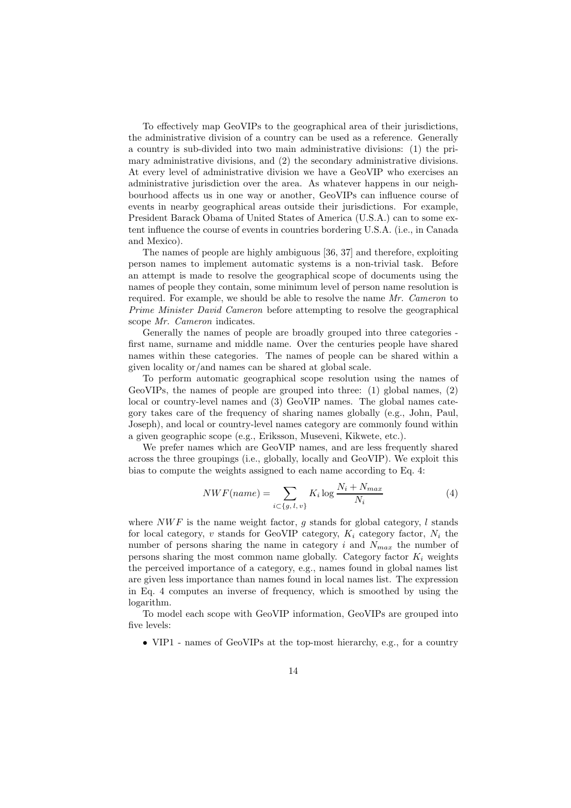To effectively map GeoVIPs to the geographical area of their jurisdictions, the administrative division of a country can be used as a reference. Generally a country is sub-divided into two main administrative divisions: (1) the primary administrative divisions, and (2) the secondary administrative divisions. At every level of administrative division we have a GeoVIP who exercises an administrative jurisdiction over the area. As whatever happens in our neighbourhood affects us in one way or another, GeoVIPs can influence course of events in nearby geographical areas outside their jurisdictions. For example, President Barack Obama of United States of America (U.S.A.) can to some extent influence the course of events in countries bordering U.S.A. (i.e., in Canada and Mexico).

The names of people are highly ambiguous [36, 37] and therefore, exploiting person names to implement automatic systems is a non-trivial task. Before an attempt is made to resolve the geographical scope of documents using the names of people they contain, some minimum level of person name resolution is required. For example, we should be able to resolve the name *Mr. Cameron* to *Prime Minister David Cameron* before attempting to resolve the geographical scope *Mr. Cameron* indicates.

Generally the names of people are broadly grouped into three categories first name, surname and middle name. Over the centuries people have shared names within these categories. The names of people can be shared within a given locality or/and names can be shared at global scale.

To perform automatic geographical scope resolution using the names of GeoVIPs, the names of people are grouped into three: (1) global names, (2) local or country-level names and (3) GeoVIP names. The global names category takes care of the frequency of sharing names globally (e.g., John, Paul, Joseph), and local or country-level names category are commonly found within a given geographic scope (e.g., Eriksson, Museveni, Kikwete, etc.).

We prefer names which are GeoVIP names, and are less frequently shared across the three groupings (i.e., globally, locally and GeoVIP). We exploit this bias to compute the weights assigned to each name according to Eq. 4:

$$
NWF(name) = \sum_{i \subset \{g, l, v\}} K_i \log \frac{N_i + N_{max}}{N_i}
$$
(4)

where  $NWF$  is the name weight factor, q stands for global category, l stands for local category, v stands for GeoVIP category,  $K_i$  category factor,  $N_i$  the number of persons sharing the name in category i and  $N_{max}$  the number of persons sharing the most common name globally. Category factor  $K_i$  weights the perceived importance of a category, e.g., names found in global names list are given less importance than names found in local names list. The expression in Eq. 4 computes an inverse of frequency, which is smoothed by using the logarithm.

To model each scope with GeoVIP information, GeoVIPs are grouped into five levels:

• VIP1 - names of GeoVIPs at the top-most hierarchy, e.g., for a country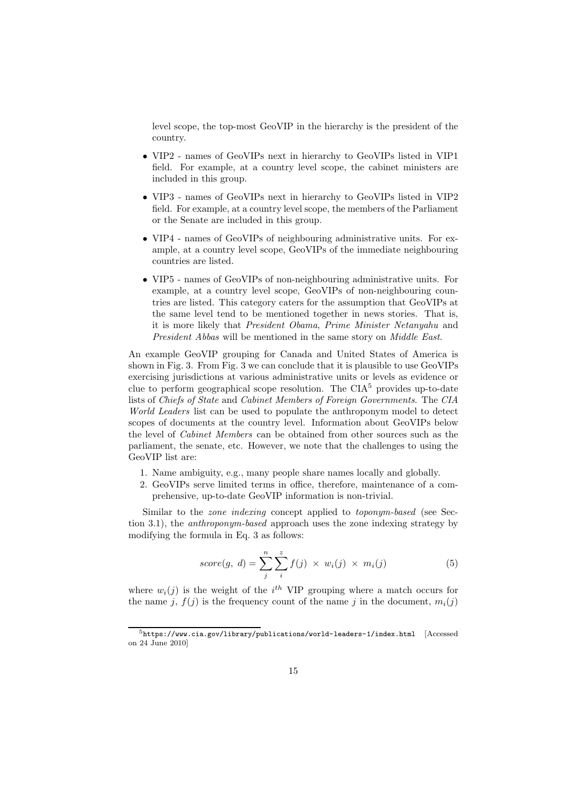level scope, the top-most GeoVIP in the hierarchy is the president of the country.

- VIP2 names of GeoVIPs next in hierarchy to GeoVIPs listed in VIP1 field. For example, at a country level scope, the cabinet ministers are included in this group.
- VIP3 names of GeoVIPs next in hierarchy to GeoVIPs listed in VIP2 field. For example, at a country level scope, the members of the Parliament or the Senate are included in this group.
- VIP4 names of GeoVIPs of neighbouring administrative units. For example, at a country level scope, GeoVIPs of the immediate neighbouring countries are listed.
- VIP5 names of GeoVIPs of non-neighbouring administrative units. For example, at a country level scope, GeoVIPs of non-neighbouring countries are listed. This category caters for the assumption that GeoVIPs at the same level tend to be mentioned together in news stories. That is, it is more likely that *President Obama*, *Prime Minister Netanyahu* and *President Abbas* will be mentioned in the same story on *Middle East*.

An example GeoVIP grouping for Canada and United States of America is shown in Fig. 3. From Fig. 3 we can conclude that it is plausible to use GeoVIPs exercising jurisdictions at various administrative units or levels as evidence or clue to perform geographical scope resolution. The  $CIA<sup>5</sup>$  provides up-to-date lists of *Chiefs of State* and *Cabinet Members of Foreign Governments*. The *CIA World Leaders* list can be used to populate the anthroponym model to detect scopes of documents at the country level. Information about GeoVIPs below the level of *Cabinet Members* can be obtained from other sources such as the parliament, the senate, etc. However, we note that the challenges to using the GeoVIP list are:

- 1. Name ambiguity, e.g., many people share names locally and globally.
- 2. GeoVIPs serve limited terms in office, therefore, maintenance of a comprehensive, up-to-date GeoVIP information is non-trivial.

Similar to the *zone indexing* concept applied to *toponym-based* (see Section 3.1), the *anthroponym-based* approach uses the zone indexing strategy by modifying the formula in Eq. 3 as follows:

$$
score(g, d) = \sum_{j}^{n} \sum_{i}^{z} f(j) \times w_i(j) \times m_i(j)
$$
 (5)

where  $w_i(j)$  is the weight of the i<sup>th</sup> VIP grouping where a match occurs for the name j,  $f(j)$  is the frequency count of the name j in the document,  $m_i(j)$ 

 $5$ https://www.cia.gov/library/publications/world-leaders-1/index.html [Accessed on 24 June 2010]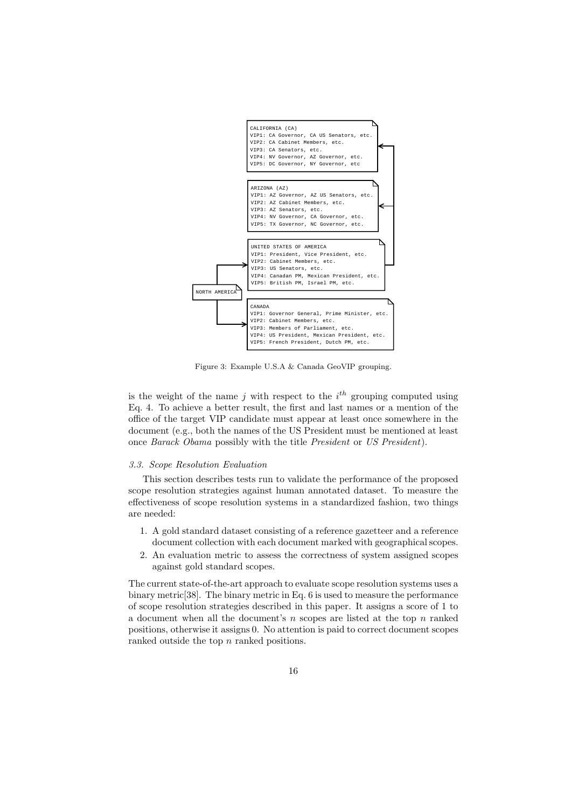

Figure 3: Example U.S.A & Canada GeoVIP grouping.

is the weight of the name j with respect to the  $i<sup>th</sup>$  grouping computed using Eq. 4. To achieve a better result, the first and last names or a mention of the office of the target VIP candidate must appear at least once somewhere in the document (e.g., both the names of the US President must be mentioned at least once *Barack Obama* possibly with the title *President* or *US President*).

#### *3.3. Scope Resolution Evaluation*

This section describes tests run to validate the performance of the proposed scope resolution strategies against human annotated dataset. To measure the effectiveness of scope resolution systems in a standardized fashion, two things are needed:

- 1. A gold standard dataset consisting of a reference gazetteer and a reference document collection with each document marked with geographical scopes.
- 2. An evaluation metric to assess the correctness of system assigned scopes against gold standard scopes.

The current state-of-the-art approach to evaluate scope resolution systems uses a binary metric[38]. The binary metric in Eq. 6 is used to measure the performance of scope resolution strategies described in this paper. It assigns a score of 1 to a document when all the document's  $n$  scopes are listed at the top  $n$  ranked positions, otherwise it assigns 0. No attention is paid to correct document scopes ranked outside the top n ranked positions.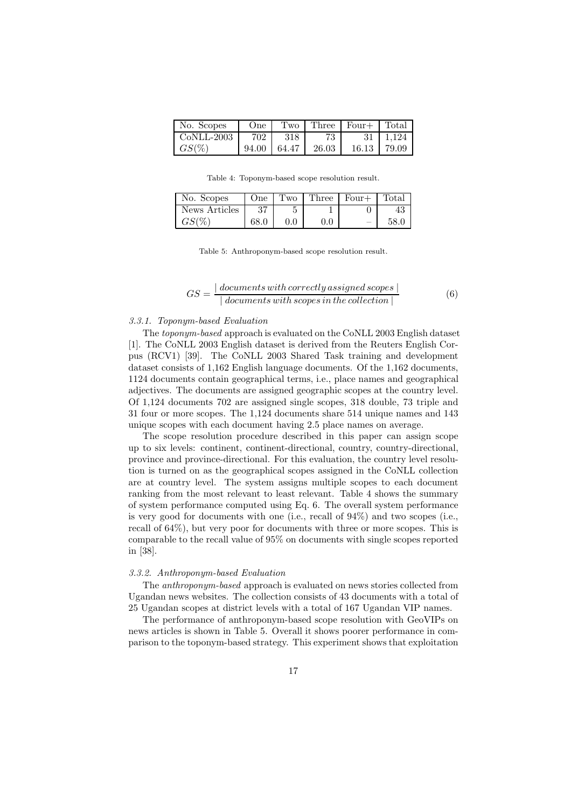| No. Scopes | One   | Two   | Three | $Four+$ | l Total    |
|------------|-------|-------|-------|---------|------------|
| CoNLL-2003 | 702   | 318   | 73.   |         | 31   1.124 |
| $GS(\%)$   | 94.00 | 64.47 | 26.03 | 16.13   | 79.09      |

Table 4: Toponym-based scope resolution result.

| No. Scopes    | One  | Two     | Three | $Four+$ | Total |
|---------------|------|---------|-------|---------|-------|
| News Articles | 37   |         |       |         |       |
| $GS(\%)$      | 68.0 | $0.0\,$ | 0.0   |         |       |

Table 5: Anthroponym-based scope resolution result.

$$
GS = \frac{|\; documents\,with\,correctly\,assigned\,scopes}{|\; documents\,with\,scopes\,in\,the\,collection\,|}\tag{6}
$$

# *3.3.1. Toponym-based Evaluation*

The *toponym-based* approach is evaluated on the CoNLL 2003 English dataset [1]. The CoNLL 2003 English dataset is derived from the Reuters English Corpus (RCV1) [39]. The CoNLL 2003 Shared Task training and development dataset consists of 1,162 English language documents. Of the 1,162 documents, 1124 documents contain geographical terms, i.e., place names and geographical adjectives. The documents are assigned geographic scopes at the country level. Of 1,124 documents 702 are assigned single scopes, 318 double, 73 triple and 31 four or more scopes. The 1,124 documents share 514 unique names and 143 unique scopes with each document having 2.5 place names on average.

The scope resolution procedure described in this paper can assign scope up to six levels: continent, continent-directional, country, country-directional, province and province-directional. For this evaluation, the country level resolution is turned on as the geographical scopes assigned in the CoNLL collection are at country level. The system assigns multiple scopes to each document ranking from the most relevant to least relevant. Table 4 shows the summary of system performance computed using Eq. 6. The overall system performance is very good for documents with one (i.e., recall of 94%) and two scopes (i.e., recall of 64%), but very poor for documents with three or more scopes. This is comparable to the recall value of 95% on documents with single scopes reported in [38].

#### *3.3.2. Anthroponym-based Evaluation*

The *anthroponym-based* approach is evaluated on news stories collected from Ugandan news websites. The collection consists of 43 documents with a total of 25 Ugandan scopes at district levels with a total of 167 Ugandan VIP names.

The performance of anthroponym-based scope resolution with GeoVIPs on news articles is shown in Table 5. Overall it shows poorer performance in comparison to the toponym-based strategy. This experiment shows that exploitation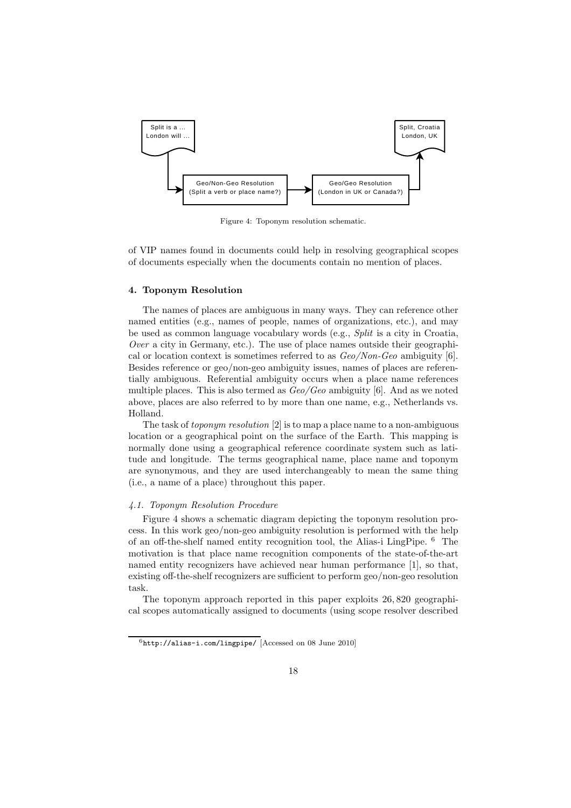

Figure 4: Toponym resolution schematic.

of VIP names found in documents could help in resolving geographical scopes of documents especially when the documents contain no mention of places.

### 4. Toponym Resolution

The names of places are ambiguous in many ways. They can reference other named entities (e.g., names of people, names of organizations, etc.), and may be used as common language vocabulary words (e.g., *Split* is a city in Croatia, *Over* a city in Germany, etc.). The use of place names outside their geographical or location context is sometimes referred to as *Geo/Non-Geo* ambiguity [6]. Besides reference or geo/non-geo ambiguity issues, names of places are referentially ambiguous. Referential ambiguity occurs when a place name references multiple places. This is also termed as *Geo/Geo* ambiguity [6]. And as we noted above, places are also referred to by more than one name, e.g., Netherlands vs. Holland.

The task of *toponym resolution* [2] is to map a place name to a non-ambiguous location or a geographical point on the surface of the Earth. This mapping is normally done using a geographical reference coordinate system such as latitude and longitude. The terms geographical name, place name and toponym are synonymous, and they are used interchangeably to mean the same thing (i.e., a name of a place) throughout this paper.

# *4.1. Toponym Resolution Procedure*

Figure 4 shows a schematic diagram depicting the toponym resolution process. In this work geo/non-geo ambiguity resolution is performed with the help of an off-the-shelf named entity recognition tool, the Alias-i LingPipe. <sup>6</sup> The motivation is that place name recognition components of the state-of-the-art named entity recognizers have achieved near human performance [1], so that, existing off-the-shelf recognizers are sufficient to perform geo/non-geo resolution task.

The toponym approach reported in this paper exploits 26, 820 geographical scopes automatically assigned to documents (using scope resolver described

 $6$ http://alias-i.com/lingpipe/ [Accessed on 08 June 2010]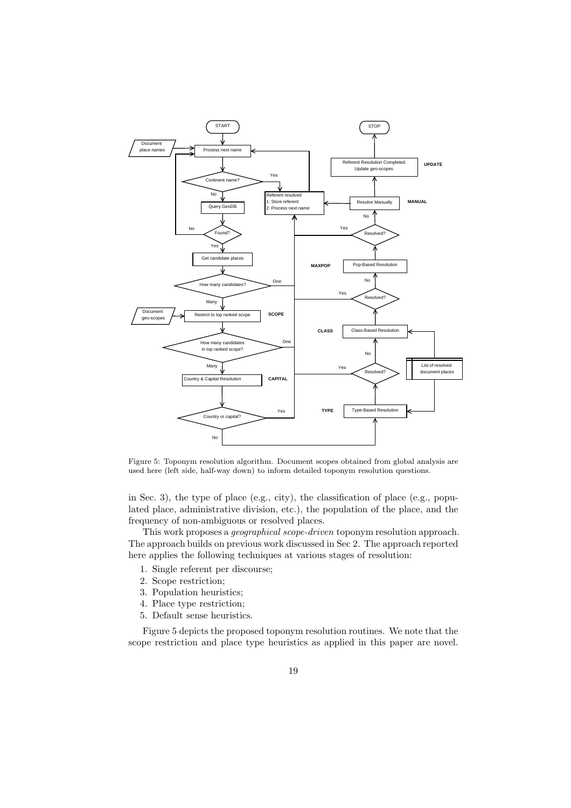

Figure 5: Toponym resolution algorithm. Document scopes obtained from global analysis are used here (left side, half-way down) to inform detailed toponym resolution questions.

in Sec. 3), the type of place (e.g., city), the classification of place (e.g., populated place, administrative division, etc.), the population of the place, and the frequency of non-ambiguous or resolved places.

This work proposes a *geographical scope-driven* toponym resolution approach. The approach builds on previous work discussed in Sec 2. The approach reported here applies the following techniques at various stages of resolution:

- 1. Single referent per discourse;
- 2. Scope restriction;
- 3. Population heuristics;
- 4. Place type restriction;
- 5. Default sense heuristics.

Figure 5 depicts the proposed toponym resolution routines. We note that the scope restriction and place type heuristics as applied in this paper are novel.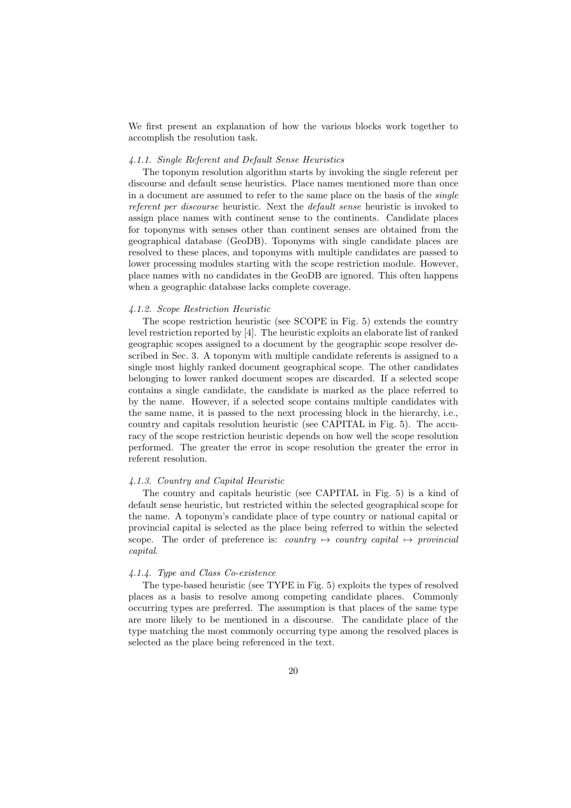We first present an explanation of how the various blocks work together to accomplish the resolution task.

### *4.1.1. Single Referent and Default Sense Heuristics*

The toponym resolution algorithm starts by invoking the single referent per discourse and default sense heuristics. Place names mentioned more than once in a document are assumed to refer to the same place on the basis of the *single referent per discourse* heuristic. Next the *default sense* heuristic is invoked to assign place names with continent sense to the continents. Candidate places for toponyms with senses other than continent senses are obtained from the geographical database (GeoDB). Toponyms with single candidate places are resolved to these places, and toponyms with multiple candidates are passed to lower processing modules starting with the scope restriction module. However, place names with no candidates in the GeoDB are ignored. This often happens when a geographic database lacks complete coverage.

# *4.1.2. Scope Restriction Heuristic*

The scope restriction heuristic (see SCOPE in Fig. 5) extends the country level restriction reported by [4]. The heuristic exploits an elaborate list of ranked geographic scopes assigned to a document by the geographic scope resolver described in Sec. 3. A toponym with multiple candidate referents is assigned to a single most highly ranked document geographical scope. The other candidates belonging to lower ranked document scopes are discarded. If a selected scope contains a single candidate, the candidate is marked as the place referred to by the name. However, if a selected scope contains multiple candidates with the same name, it is passed to the next processing block in the hierarchy, i.e., country and capitals resolution heuristic (see CAPITAL in Fig. 5). The accuracy of the scope restriction heuristic depends on how well the scope resolution performed. The greater the error in scope resolution the greater the error in referent resolution.

#### *4.1.3. Country and Capital Heuristic*

The country and capitals heuristic (see CAPITAL in Fig. 5) is a kind of default sense heuristic, but restricted within the selected geographical scope for the name. A toponym's candidate place of type country or national capital or provincial capital is selected as the place being referred to within the selected scope. The order of preference is: *country*  $\mapsto$  *country capital*  $\mapsto$  *provincial capital*.

# *4.1.4. Type and Class Co-existence*

The type-based heuristic (see TYPE in Fig. 5) exploits the types of resolved places as a basis to resolve among competing candidate places. Commonly occurring types are preferred. The assumption is that places of the same type are more likely to be mentioned in a discourse. The candidate place of the type matching the most commonly occurring type among the resolved places is selected as the place being referenced in the text.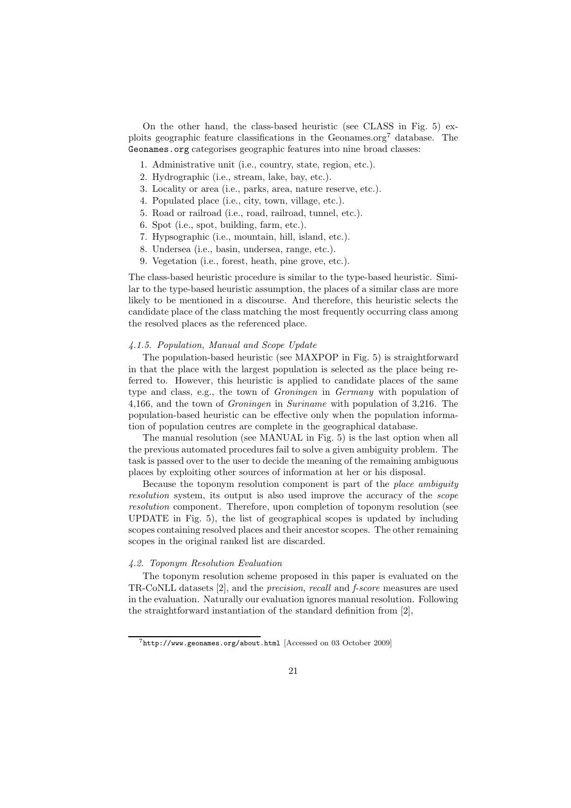On the other hand, the class-based heuristic (see CLASS in Fig. 5) exploits geographic feature classifications in the Geonames.org<sup>7</sup> database. The Geonames.org categorises geographic features into nine broad classes:

- 1. Administrative unit (i.e., country, state, region, etc.).
- 2. Hydrographic (i.e., stream, lake, bay, etc.).
- 3. Locality or area (i.e., parks, area, nature reserve, etc.).
- 4. Populated place (i.e., city, town, village, etc.).
- 5. Road or railroad (i.e., road, railroad, tunnel, etc.).
- 6. Spot (i.e., spot, building, farm, etc.).
- 7. Hypsographic (i.e., mountain, hill, island, etc.).
- 8. Undersea (i.e., basin, undersea, range, etc.).
- 9. Vegetation (i.e., forest, heath, pine grove, etc.).

The class-based heuristic procedure is similar to the type-based heuristic. Similar to the type-based heuristic assumption, the places of a similar class are more likely to be mentioned in a discourse. And therefore, this heuristic selects the candidate place of the class matching the most frequently occurring class among the resolved places as the referenced place.

# *4.1.5. Population, Manual and Scope Update*

The population-based heuristic (see MAXPOP in Fig. 5) is straightforward in that the place with the largest population is selected as the place being referred to. However, this heuristic is applied to candidate places of the same type and class, e.g., the town of *Groningen* in *Germany* with population of 4,166, and the town of *Groningen* in *Suriname* with population of 3,216. The population-based heuristic can be effective only when the population information of population centres are complete in the geographical database.

The manual resolution (see MANUAL in Fig. 5) is the last option when all the previous automated procedures fail to solve a given ambiguity problem. The task is passed over to the user to decide the meaning of the remaining ambiguous places by exploiting other sources of information at her or his disposal.

Because the toponym resolution component is part of the *place ambiguity resolution* system, its output is also used improve the accuracy of the *scope resolution* component. Therefore, upon completion of toponym resolution (see UPDATE in Fig. 5), the list of geographical scopes is updated by including scopes containing resolved places and their ancestor scopes. The other remaining scopes in the original ranked list are discarded.

# *4.2. Toponym Resolution Evaluation*

The toponym resolution scheme proposed in this paper is evaluated on the TR-CoNLL datasets [2], and the *precision*, *recall* and *f-score* measures are used in the evaluation. Naturally our evaluation ignores manual resolution. Following the straightforward instantiation of the standard definition from [2],

 $7$ http://www.geonames.org/about.html [Accessed on 03 October 2009]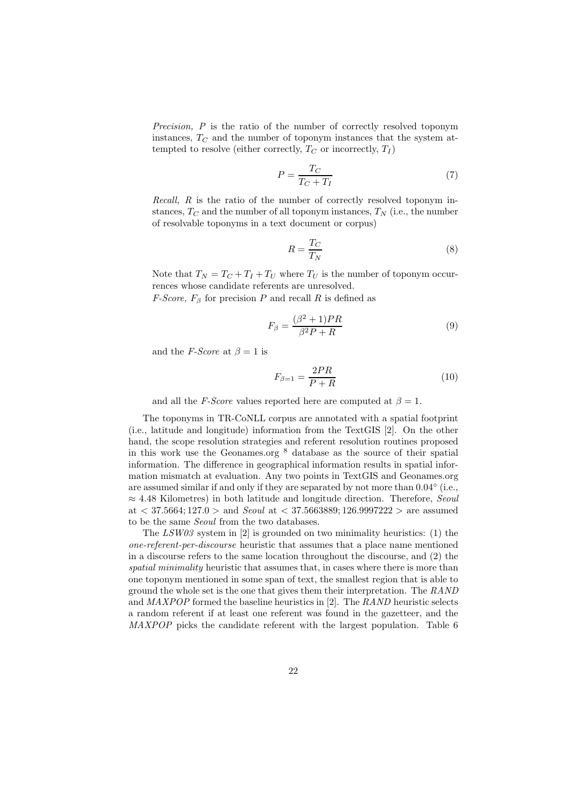*Precision, P* is the ratio of the number of correctly resolved toponym instances,  $T_{\text{C}}$  and the number of toponym instances that the system attempted to resolve (either correctly,  $T_C$  or incorrectly,  $T_I$ )

$$
P = \frac{T_C}{T_C + T_I} \tag{7}
$$

*Recall, R* is the ratio of the number of correctly resolved toponym instances,  $T_{\text{C}}$  and the number of all toponym instances,  $T_{\text{N}}$  (i.e., the number of resolvable toponyms in a text document or corpus)

$$
R = \frac{T_C}{T_N} \tag{8}
$$

Note that  $T_N = T_C + T_I + T_U$  where  $T_U$  is the number of toponym occurrences whose candidate referents are unresolved.

*F-Score,*  $F_\beta$  for precision P and recall R is defined as

$$
F_{\beta} = \frac{(\beta^2 + 1)PR}{\beta^2 P + R}
$$
\n(9)

and the *F-Score* at  $\beta = 1$  is

$$
F_{\beta=1} = \frac{2PR}{P+R} \tag{10}
$$

and all the *F-Score* values reported here are computed at  $\beta = 1$ .

The toponyms in TR-CoNLL corpus are annotated with a spatial footprint (i.e., latitude and longitude) information from the TextGIS [2]. On the other hand, the scope resolution strategies and referent resolution routines proposed in this work use the Geonames.org  $8$  database as the source of their spatial information. The difference in geographical information results in spatial information mismatch at evaluation. Any two points in TextGIS and Geonames.org are assumed similar if and only if they are separated by not more than  $0.04^{\circ}$  (i.e., ≈ 4.48 Kilometres) in both latitude and longitude direction. Therefore, *Seoul* at < 37.5664; 127.0 > and *Seoul* at < 37.5663889; 126.9997222 > are assumed to be the same *Seoul* from the two databases.

The *LSW03* system in [2] is grounded on two minimality heuristics: (1) the *one-referent-per-discourse* heuristic that assumes that a place name mentioned in a discourse refers to the same location throughout the discourse, and (2) the *spatial minimality* heuristic that assumes that, in cases where there is more than one toponym mentioned in some span of text, the smallest region that is able to ground the whole set is the one that gives them their interpretation. The *RAND* and *MAXPOP* formed the baseline heuristics in [2]. The *RAND* heuristic selects a random referent if at least one referent was found in the gazetteer, and the *MAXPOP* picks the candidate referent with the largest population. Table 6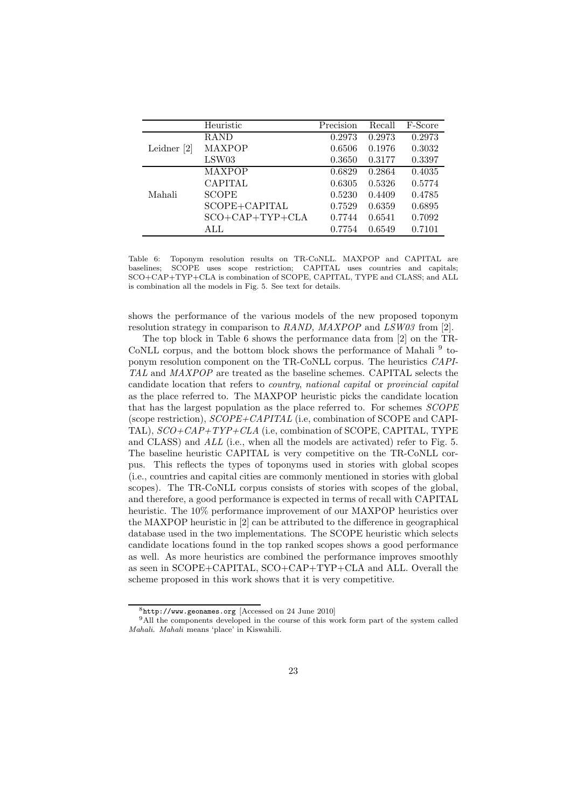|               | Heuristic               | Precision | Recall | F-Score |
|---------------|-------------------------|-----------|--------|---------|
|               | <b>RAND</b>             | 0.2973    | 0.2973 | 0.2973  |
| Leidner $[2]$ | MAXPOP                  | 0.6506    | 0.1976 | 0.3032  |
|               | LSW03                   | 0.3650    | 0.3177 | 0.3397  |
|               | <b>MAXPOP</b>           | 0.6829    | 0.2864 | 0.4035  |
|               | <b>CAPITAL</b>          | 0.6305    | 0.5326 | 0.5774  |
| Mahali        | <b>SCOPE</b>            | 0.5230    | 0.4409 | 0.4785  |
|               | SCOPE+CAPITAL           | 0.7529    | 0.6359 | 0.6895  |
|               | $SCO + CAP + TYP + CLA$ | 0.7744    | 0.6541 | 0.7092  |
|               | ALL.                    | 0.7754    | 0.6549 | 0.7101  |

Table 6: Toponym resolution results on TR-CoNLL. MAXPOP and CAPITAL are baselines; SCOPE uses scope restriction; CAPITAL uses countries and capitals; SCO+CAP+TYP+CLA is combination of SCOPE, CAPITAL, TYPE and CLASS; and ALL is combination all the models in Fig. 5. See text for details.

shows the performance of the various models of the new proposed toponym resolution strategy in comparison to *RAND, MAXPOP* and *LSW03* from [2].

The top block in Table 6 shows the performance data from [2] on the TR-CoNLL corpus, and the bottom block shows the performance of Mahali<sup>9</sup> toponym resolution component on the TR-CoNLL corpus. The heuristics *CAPI-TAL* and *MAXPOP* are treated as the baseline schemes. CAPITAL selects the candidate location that refers to *country*, *national capital* or *provincial capital* as the place referred to. The MAXPOP heuristic picks the candidate location that has the largest population as the place referred to. For schemes *SCOPE* (scope restriction), *SCOPE+CAPITAL* (i.e, combination of SCOPE and CAPI-TAL), *SCO+CAP+TYP+CLA* (i.e, combination of SCOPE, CAPITAL, TYPE and CLASS) and *ALL* (i.e., when all the models are activated) refer to Fig. 5. The baseline heuristic CAPITAL is very competitive on the TR-CoNLL corpus. This reflects the types of toponyms used in stories with global scopes (i.e., countries and capital cities are commonly mentioned in stories with global scopes). The TR-CoNLL corpus consists of stories with scopes of the global, and therefore, a good performance is expected in terms of recall with CAPITAL heuristic. The 10% performance improvement of our MAXPOP heuristics over the MAXPOP heuristic in [2] can be attributed to the difference in geographical database used in the two implementations. The SCOPE heuristic which selects candidate locations found in the top ranked scopes shows a good performance as well. As more heuristics are combined the performance improves smoothly as seen in SCOPE+CAPITAL, SCO+CAP+TYP+CLA and ALL. Overall the scheme proposed in this work shows that it is very competitive.

<sup>8</sup>http://www.geonames.org [Accessed on 24 June 2010]

<sup>&</sup>lt;sup>9</sup>All the components developed in the course of this work form part of the system called *Mahali*. *Mahali* means 'place' in Kiswahili.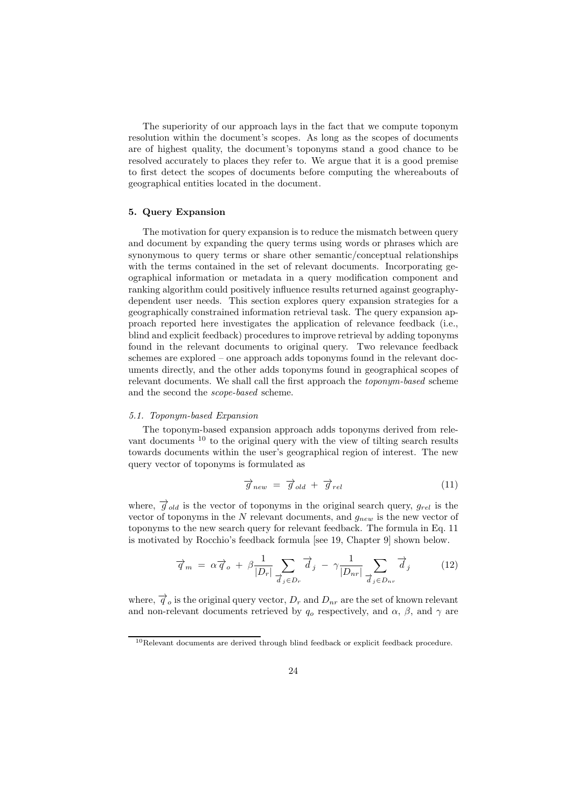The superiority of our approach lays in the fact that we compute toponym resolution within the document's scopes. As long as the scopes of documents are of highest quality, the document's toponyms stand a good chance to be resolved accurately to places they refer to. We argue that it is a good premise to first detect the scopes of documents before computing the whereabouts of geographical entities located in the document.

### 5. Query Expansion

The motivation for query expansion is to reduce the mismatch between query and document by expanding the query terms using words or phrases which are synonymous to query terms or share other semantic/conceptual relationships with the terms contained in the set of relevant documents. Incorporating geographical information or metadata in a query modification component and ranking algorithm could positively influence results returned against geographydependent user needs. This section explores query expansion strategies for a geographically constrained information retrieval task. The query expansion approach reported here investigates the application of relevance feedback (i.e., blind and explicit feedback) procedures to improve retrieval by adding toponyms found in the relevant documents to original query. Two relevance feedback schemes are explored – one approach adds toponyms found in the relevant documents directly, and the other adds toponyms found in geographical scopes of relevant documents. We shall call the first approach the *toponym-based* scheme and the second the *scope-based* scheme.

#### *5.1. Toponym-based Expansion*

The toponym-based expansion approach adds toponyms derived from relevant documents <sup>10</sup> to the original query with the view of tilting search results towards documents within the user's geographical region of interest. The new query vector of toponyms is formulated as

$$
\overrightarrow{g}_{new} = \overrightarrow{g}_{old} + \overrightarrow{g}_{rel} \tag{11}
$$

where,  $\overrightarrow{g}_{old}$  is the vector of toponyms in the original search query,  $g_{rel}$  is the vector of toponyms in the  $N$  relevant documents, and  $g_{new}$  is the new vector of toponyms to the new search query for relevant feedback. The formula in Eq. 11 is motivated by Rocchio's feedback formula [see 19, Chapter 9] shown below.

$$
\overrightarrow{q}_m = \alpha \overrightarrow{q}_o + \beta \frac{1}{|D_r|} \sum_{\overrightarrow{d}_j \in D_r} \overrightarrow{d}_j - \gamma \frac{1}{|D_{nr}|} \sum_{\overrightarrow{d}_j \in D_{nr}} \overrightarrow{d}_j \tag{12}
$$

where,  $\overrightarrow{q}_o$  is the original query vector,  $D_r$  and  $D_{nr}$  are the set of known relevant and non-relevant documents retrieved by  $q_o$  respectively, and  $\alpha$ ,  $\beta$ , and  $\gamma$  are

<sup>&</sup>lt;sup>10</sup>Relevant documents are derived through blind feedback or explicit feedback procedure.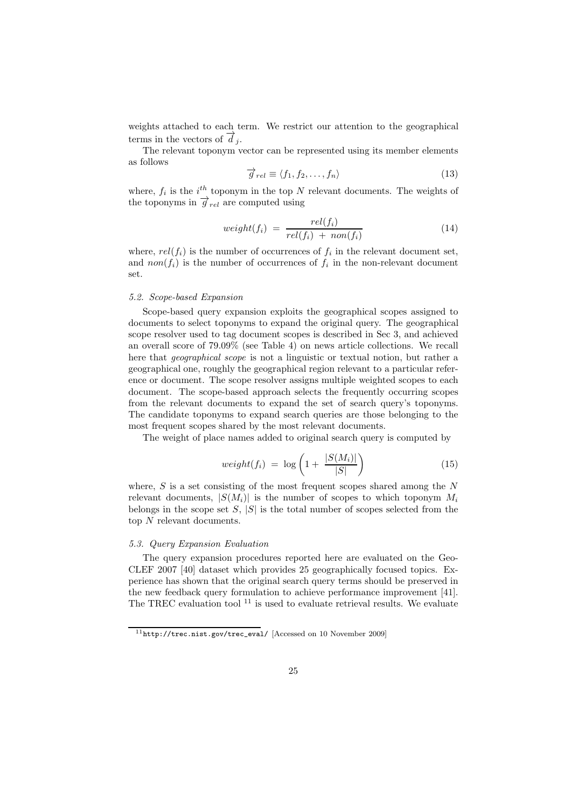weights attached to each term. We restrict our attention to the geographical terms in the vectors of  $\hat{d}_i$ .

The relevant toponym vector can be represented using its member elements as follows

$$
\overrightarrow{g}_{rel} \equiv \langle f_1, f_2, \dots, f_n \rangle \tag{13}
$$

where,  $f_i$  is the  $i<sup>th</sup>$  toponym in the top N relevant documents. The weights of the toponyms in  $\overrightarrow{g}_{rel}$  are computed using

$$
weight(f_i) = \frac{rel(f_i)}{rel(f_i) + \text{non}(f_i)} \tag{14}
$$

where,  $rel(f_i)$  is the number of occurrences of  $f_i$  in the relevant document set, and  $non(f_i)$  is the number of occurrences of  $f_i$  in the non-relevant document set.

# *5.2. Scope-based Expansion*

Scope-based query expansion exploits the geographical scopes assigned to documents to select toponyms to expand the original query. The geographical scope resolver used to tag document scopes is described in Sec 3, and achieved an overall score of 79.09% (see Table 4) on news article collections. We recall here that *geographical scope* is not a linguistic or textual notion, but rather a geographical one, roughly the geographical region relevant to a particular reference or document. The scope resolver assigns multiple weighted scopes to each document. The scope-based approach selects the frequently occurring scopes from the relevant documents to expand the set of search query's toponyms. The candidate toponyms to expand search queries are those belonging to the most frequent scopes shared by the most relevant documents.

The weight of place names added to original search query is computed by

$$
weight(f_i) = \log \left( 1 + \frac{|S(M_i)|}{|S|} \right) \tag{15}
$$

where,  $S$  is a set consisting of the most frequent scopes shared among the  $N$ relevant documents,  $|S(M_i)|$  is the number of scopes to which toponym  $M_i$ belongs in the scope set  $S$ ,  $|S|$  is the total number of scopes selected from the top N relevant documents.

# *5.3. Query Expansion Evaluation*

The query expansion procedures reported here are evaluated on the Geo-CLEF 2007 [40] dataset which provides 25 geographically focused topics. Experience has shown that the original search query terms should be preserved in the new feedback query formulation to achieve performance improvement [41]. The TREC evaluation tool  $^{11}$  is used to evaluate retrieval results. We evaluate

<sup>11</sup>http://trec.nist.gov/trec\_eval/ [Accessed on 10 November 2009]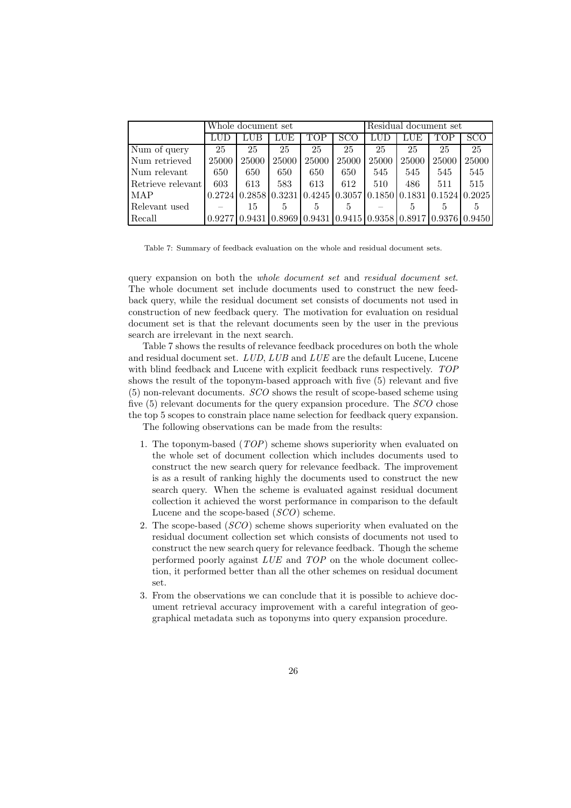|                   | Whole document set |       |                |       |       | Residual document set |       |       |                                                                                                                 |
|-------------------|--------------------|-------|----------------|-------|-------|-----------------------|-------|-------|-----------------------------------------------------------------------------------------------------------------|
|                   | LUD                | LUB   | LUE            | TOP   | SCO   |                       | LUE   | TOP   | SCO                                                                                                             |
| Num of query      | 25                 | 25    | 25             | 25    | 25    | 25                    | 25    | 25    | 25                                                                                                              |
| Num retrieved     | 25000              | 25000 | 25000          | 25000 | 25000 | 25000                 | 25000 | 25000 | 25000                                                                                                           |
| Num relevant      | 650                | 650   | 650            | 650   | 650   | 545                   | 545   | 545   | 545                                                                                                             |
| Retrieve relevant | 603                | 613   | 583            | 613   | 612   | 510                   | 486   | 511   | 515                                                                                                             |
| <b>MAP</b>        | 0.2724             |       |                |       |       |                       |       |       | $\vert 0.2858 \vert 0.3231 \vert 0.4245 \vert 0.3057 \vert 0.1850 \vert 0.1831 \vert 0.1524 \vert 0.2025 \vert$ |
| Relevant used     |                    | 15    | $\mathfrak{h}$ | 5.    | 5.    |                       | 5     |       |                                                                                                                 |
| Recall            | 0.92771            |       |                |       |       |                       |       |       | $(0.9431   0.8969   0.9431   0.9415   0.9358   0.8917   0.9376   0.9450)$                                       |

Table 7: Summary of feedback evaluation on the whole and residual document sets.

query expansion on both the *whole document set* and *residual document set*. The whole document set include documents used to construct the new feedback query, while the residual document set consists of documents not used in construction of new feedback query. The motivation for evaluation on residual document set is that the relevant documents seen by the user in the previous search are irrelevant in the next search.

Table 7 shows the results of relevance feedback procedures on both the whole and residual document set. *LUD*, *LUB* and *LUE* are the default Lucene, Lucene with blind feedback and Lucene with explicit feedback runs respectively. *TOP* shows the result of the toponym-based approach with five (5) relevant and five (5) non-relevant documents. *SCO* shows the result of scope-based scheme using five (5) relevant documents for the query expansion procedure. The *SCO* chose the top 5 scopes to constrain place name selection for feedback query expansion.

The following observations can be made from the results:

- 1. The toponym-based (*TOP*) scheme shows superiority when evaluated on the whole set of document collection which includes documents used to construct the new search query for relevance feedback. The improvement is as a result of ranking highly the documents used to construct the new search query. When the scheme is evaluated against residual document collection it achieved the worst performance in comparison to the default Lucene and the scope-based (*SCO*) scheme.
- 2. The scope-based (*SCO*) scheme shows superiority when evaluated on the residual document collection set which consists of documents not used to construct the new search query for relevance feedback. Though the scheme performed poorly against *LUE* and *TOP* on the whole document collection, it performed better than all the other schemes on residual document set.
- 3. From the observations we can conclude that it is possible to achieve document retrieval accuracy improvement with a careful integration of geographical metadata such as toponyms into query expansion procedure.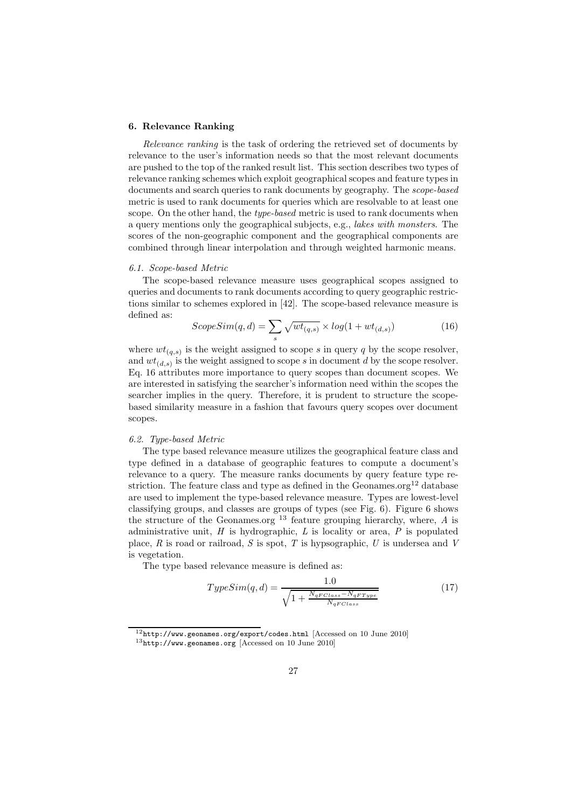# 6. Relevance Ranking

*Relevance ranking* is the task of ordering the retrieved set of documents by relevance to the user's information needs so that the most relevant documents are pushed to the top of the ranked result list. This section describes two types of relevance ranking schemes which exploit geographical scopes and feature types in documents and search queries to rank documents by geography. The *scope-based* metric is used to rank documents for queries which are resolvable to at least one scope. On the other hand, the *type-based* metric is used to rank documents when a query mentions only the geographical subjects, e.g., *lakes with monsters*. The scores of the non-geographic component and the geographical components are combined through linear interpolation and through weighted harmonic means.

# *6.1. Scope-based Metric*

The scope-based relevance measure uses geographical scopes assigned to queries and documents to rank documents according to query geographic restrictions similar to schemes explored in [42]. The scope-based relevance measure is defined as:

$$
ScopeSim(q, d) = \sum_{s} \sqrt{wt_{(q,s)}} \times log(1 + wt_{(d,s)})
$$
\n(16)

where  $wt_{(q,s)}$  is the weight assigned to scope s in query q by the scope resolver, and  $wt_{(d,s)}$  is the weight assigned to scope s in document d by the scope resolver. Eq. 16 attributes more importance to query scopes than document scopes. We are interested in satisfying the searcher's information need within the scopes the searcher implies in the query. Therefore, it is prudent to structure the scopebased similarity measure in a fashion that favours query scopes over document scopes.

# *6.2. Type-based Metric*

The type based relevance measure utilizes the geographical feature class and type defined in a database of geographic features to compute a document's relevance to a query. The measure ranks documents by query feature type restriction. The feature class and type as defined in the Geonames.org<sup>12</sup> database are used to implement the type-based relevance measure. Types are lowest-level classifying groups, and classes are groups of types (see Fig. 6). Figure 6 shows the structure of the Geonames.org  $^{13}$  feature grouping hierarchy, where, *A* is administrative unit, *H* is hydrographic, *L* is locality or area, *P* is populated place, *R* is road or railroad, *S* is spot, *T* is hypsographic, *U* is undersea and *V* is vegetation.

The type based relevance measure is defined as:

$$
TypeSim(q, d) = \frac{1.0}{\sqrt{1 + \frac{N_q F Class - N_q F Type}{N_q F Class}}}
$$
(17)

 $^{12}\texttt{http://www.geonames.org/export/codes.html}$  [Accessed on 10 June 2010] <sup>13</sup>http://www.geonames.org [Accessed on 10 June 2010]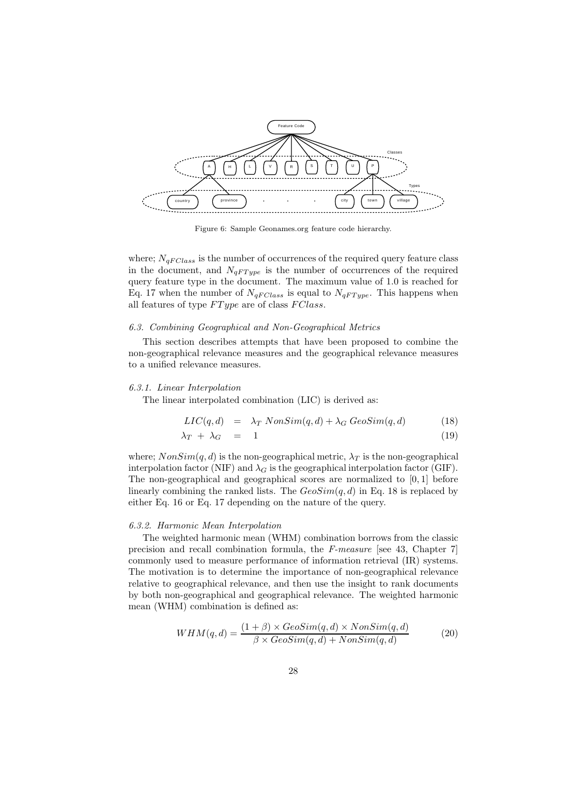

Figure 6: Sample Geonames.org feature code hierarchy.

where;  $N_{qFClass}$  is the number of occurrences of the required query feature class in the document, and  $N_{qFT ype}$  is the number of occurrences of the required query feature type in the document. The maximum value of 1.0 is reached for Eq. 17 when the number of  $N_{qFClass}$  is equal to  $N_{qFType}$ . This happens when all features of type  $FType$  are of class  $FClass$ .

#### *6.3. Combining Geographical and Non-Geographical Metrics*

This section describes attempts that have been proposed to combine the non-geographical relevance measures and the geographical relevance measures to a unified relevance measures.

### *6.3.1. Linear Interpolation*

The linear interpolated combination (LIC) is derived as:

$$
LIC(q, d) = \lambda_T N onSim(q, d) + \lambda_G \text{GeoSim}(q, d)
$$
\n(18)

$$
\lambda_T + \lambda_G = 1 \tag{19}
$$

where;  $NonSim(q, d)$  is the non-geographical metric,  $\lambda_T$  is the non-geographical interpolation factor (NIF) and  $\lambda_G$  is the geographical interpolation factor (GIF). The non-geographical and geographical scores are normalized to [0, 1] before linearly combining the ranked lists. The  $GeoSim(q, d)$  in Eq. 18 is replaced by either Eq. 16 or Eq. 17 depending on the nature of the query.

#### *6.3.2. Harmonic Mean Interpolation*

The weighted harmonic mean (WHM) combination borrows from the classic precision and recall combination formula, the *F-measure* [see 43, Chapter 7] commonly used to measure performance of information retrieval (IR) systems. The motivation is to determine the importance of non-geographical relevance relative to geographical relevance, and then use the insight to rank documents by both non-geographical and geographical relevance. The weighted harmonic mean (WHM) combination is defined as:

$$
WHM(q, d) = \frac{(1 + \beta) \times GeoSim(q, d) \times NonSim(q, d)}{\beta \times GeoSim(q, d) + NonSim(q, d)}
$$
(20)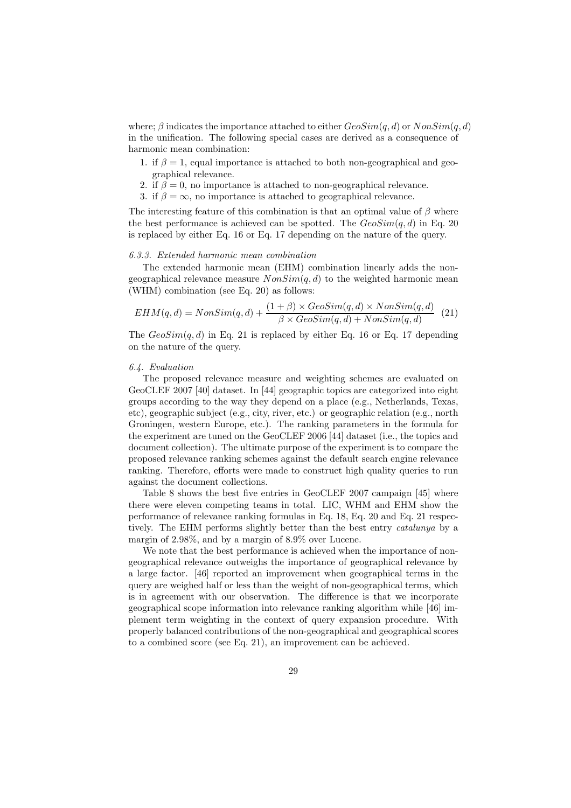where;  $\beta$  indicates the importance attached to either  $GeoSim(q, d)$  or  $NonSim(q, d)$ in the unification. The following special cases are derived as a consequence of harmonic mean combination:

- 1. if  $\beta = 1$ , equal importance is attached to both non-geographical and geographical relevance.
- 2. if  $\beta = 0$ , no importance is attached to non-geographical relevance.
- 3. if  $\beta = \infty$ , no importance is attached to geographical relevance.

The interesting feature of this combination is that an optimal value of  $\beta$  where the best performance is achieved can be spotted. The  $GeoSim(q, d)$  in Eq. 20 is replaced by either Eq. 16 or Eq. 17 depending on the nature of the query.

#### *6.3.3. Extended harmonic mean combination*

The extended harmonic mean (EHM) combination linearly adds the nongeographical relevance measure  $NonSim(q, d)$  to the weighted harmonic mean (WHM) combination (see Eq. 20) as follows:

$$
EHM(q,d) = NonSim(q,d) + \frac{(1+\beta) \times GeoSim(q,d) \times NonSim(q,d)}{\beta \times GeoSim(q,d) + NonSim(q,d)} \tag{21}
$$

The  $GeoSim(q, d)$  in Eq. 21 is replaced by either Eq. 16 or Eq. 17 depending on the nature of the query.

# *6.4. Evaluation*

The proposed relevance measure and weighting schemes are evaluated on GeoCLEF 2007 [40] dataset. In [44] geographic topics are categorized into eight groups according to the way they depend on a place (e.g., Netherlands, Texas, etc), geographic subject (e.g., city, river, etc.) or geographic relation (e.g., north Groningen, western Europe, etc.). The ranking parameters in the formula for the experiment are tuned on the GeoCLEF 2006 [44] dataset (i.e., the topics and document collection). The ultimate purpose of the experiment is to compare the proposed relevance ranking schemes against the default search engine relevance ranking. Therefore, efforts were made to construct high quality queries to run against the document collections.

Table 8 shows the best five entries in GeoCLEF 2007 campaign [45] where there were eleven competing teams in total. LIC, WHM and EHM show the performance of relevance ranking formulas in Eq. 18, Eq. 20 and Eq. 21 respectively. The EHM performs slightly better than the best entry *catalunya* by a margin of 2.98%, and by a margin of 8.9% over Lucene.

We note that the best performance is achieved when the importance of nongeographical relevance outweighs the importance of geographical relevance by a large factor. [46] reported an improvement when geographical terms in the query are weighed half or less than the weight of non-geographical terms, which is in agreement with our observation. The difference is that we incorporate geographical scope information into relevance ranking algorithm while [46] implement term weighting in the context of query expansion procedure. With properly balanced contributions of the non-geographical and geographical scores to a combined score (see Eq. 21), an improvement can be achieved.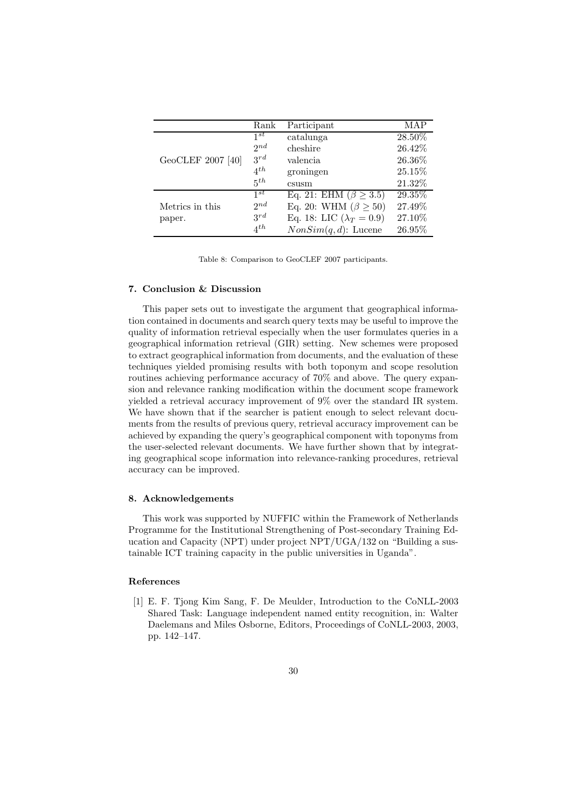|                   | Rank     | Participant                       | MAP       |
|-------------------|----------|-----------------------------------|-----------|
|                   | $1^{st}$ | catalunga                         | $28.50\%$ |
|                   | $2^{nd}$ | cheshire                          | 26.42%    |
| GeoCLEF 2007 [40] | $3^{rd}$ | valencia                          | 26.36%    |
|                   | $4^{th}$ | groningen                         | 25.15%    |
|                   | $5^{th}$ | csusm                             | 21.32%    |
|                   | 1st      | Eq. 21: EHM ( $\beta \geq 3.5$ )  | 29.35%    |
| Metrics in this   | 2nd      | Eq. 20: WHM $(\beta \geq 50)$     | 27.49%    |
| paper.            | $3^{rd}$ | Eq. 18: LIC ( $\lambda_T = 0.9$ ) | 27.10%    |
|                   | $4^{th}$ | $NonSim(q, d)$ : Lucene           | 26.95%    |

Table 8: Comparison to GeoCLEF 2007 participants.

# 7. Conclusion & Discussion

This paper sets out to investigate the argument that geographical information contained in documents and search query texts may be useful to improve the quality of information retrieval especially when the user formulates queries in a geographical information retrieval (GIR) setting. New schemes were proposed to extract geographical information from documents, and the evaluation of these techniques yielded promising results with both toponym and scope resolution routines achieving performance accuracy of 70% and above. The query expansion and relevance ranking modification within the document scope framework yielded a retrieval accuracy improvement of 9% over the standard IR system. We have shown that if the searcher is patient enough to select relevant documents from the results of previous query, retrieval accuracy improvement can be achieved by expanding the query's geographical component with toponyms from the user-selected relevant documents. We have further shown that by integrating geographical scope information into relevance-ranking procedures, retrieval accuracy can be improved.

# 8. Acknowledgements

This work was supported by NUFFIC within the Framework of Netherlands Programme for the Institutional Strengthening of Post-secondary Training Education and Capacity (NPT) under project NPT/UGA/132 on "Building a sustainable ICT training capacity in the public universities in Uganda".

# References

[1] E. F. Tjong Kim Sang, F. De Meulder, Introduction to the CoNLL-2003 Shared Task: Language independent named entity recognition, in: Walter Daelemans and Miles Osborne, Editors, Proceedings of CoNLL-2003, 2003, pp. 142–147.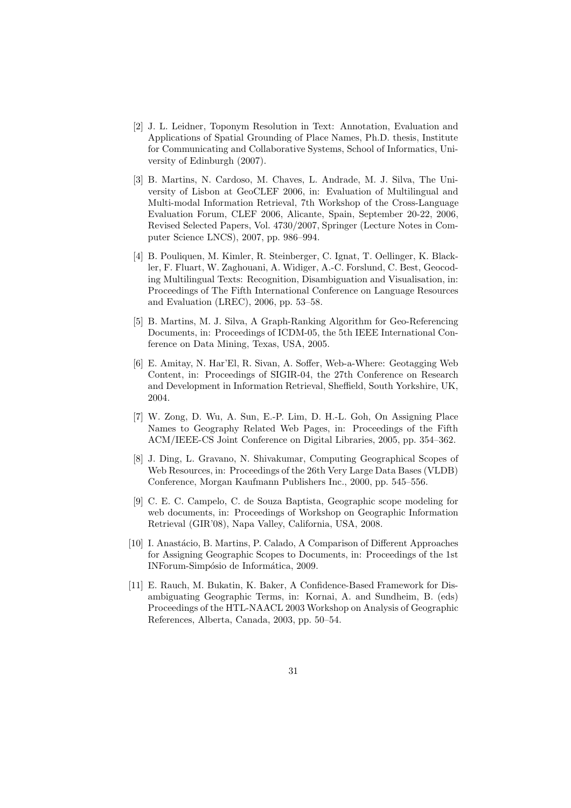- [2] J. L. Leidner, Toponym Resolution in Text: Annotation, Evaluation and Applications of Spatial Grounding of Place Names, Ph.D. thesis, Institute for Communicating and Collaborative Systems, School of Informatics, University of Edinburgh (2007).
- [3] B. Martins, N. Cardoso, M. Chaves, L. Andrade, M. J. Silva, The University of Lisbon at GeoCLEF 2006, in: Evaluation of Multilingual and Multi-modal Information Retrieval, 7th Workshop of the Cross-Language Evaluation Forum, CLEF 2006, Alicante, Spain, September 20-22, 2006, Revised Selected Papers, Vol. 4730/2007, Springer (Lecture Notes in Computer Science LNCS), 2007, pp. 986–994.
- [4] B. Pouliquen, M. Kimler, R. Steinberger, C. Ignat, T. Oellinger, K. Blackler, F. Fluart, W. Zaghouani, A. Widiger, A.-C. Forslund, C. Best, Geocoding Multilingual Texts: Recognition, Disambiguation and Visualisation, in: Proceedings of The Fifth International Conference on Language Resources and Evaluation (LREC), 2006, pp. 53–58.
- [5] B. Martins, M. J. Silva, A Graph-Ranking Algorithm for Geo-Referencing Documents, in: Proceedings of ICDM-05, the 5th IEEE International Conference on Data Mining, Texas, USA, 2005.
- [6] E. Amitay, N. Har'El, R. Sivan, A. Soffer, Web-a-Where: Geotagging Web Content, in: Proceedings of SIGIR-04, the 27th Conference on Research and Development in Information Retrieval, Sheffield, South Yorkshire, UK, 2004.
- [7] W. Zong, D. Wu, A. Sun, E.-P. Lim, D. H.-L. Goh, On Assigning Place Names to Geography Related Web Pages, in: Proceedings of the Fifth ACM/IEEE-CS Joint Conference on Digital Libraries, 2005, pp. 354–362.
- [8] J. Ding, L. Gravano, N. Shivakumar, Computing Geographical Scopes of Web Resources, in: Proceedings of the 26th Very Large Data Bases (VLDB) Conference, Morgan Kaufmann Publishers Inc., 2000, pp. 545–556.
- [9] C. E. C. Campelo, C. de Souza Baptista, Geographic scope modeling for web documents, in: Proceedings of Workshop on Geographic Information Retrieval (GIR'08), Napa Valley, California, USA, 2008.
- [10] I. Anastácio, B. Martins, P. Calado, A Comparison of Different Approaches for Assigning Geographic Scopes to Documents, in: Proceedings of the 1st INForum-Simpósio de Informática, 2009.
- [11] E. Rauch, M. Bukatin, K. Baker, A Confidence-Based Framework for Disambiguating Geographic Terms, in: Kornai, A. and Sundheim, B. (eds) Proceedings of the HTL-NAACL 2003 Workshop on Analysis of Geographic References, Alberta, Canada, 2003, pp. 50–54.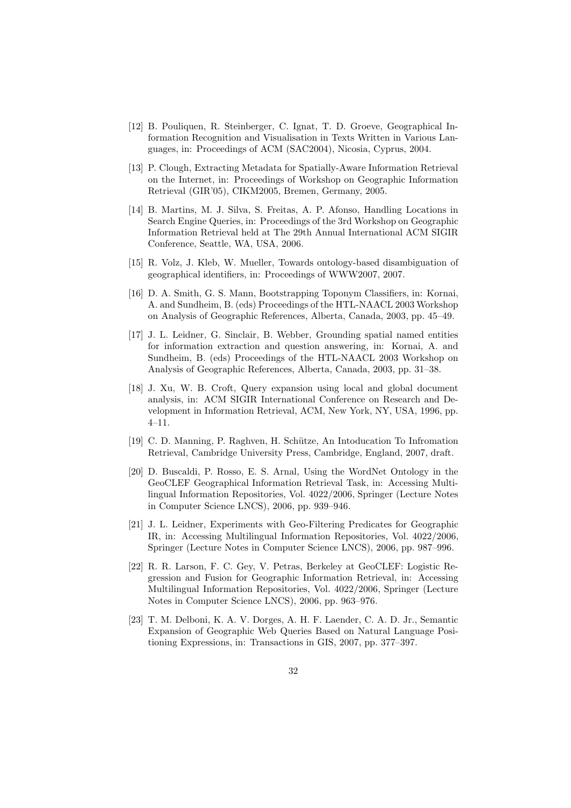- [12] B. Pouliquen, R. Steinberger, C. Ignat, T. D. Groeve, Geographical Information Recognition and Visualisation in Texts Written in Various Languages, in: Proceedings of ACM (SAC2004), Nicosia, Cyprus, 2004.
- [13] P. Clough, Extracting Metadata for Spatially-Aware Information Retrieval on the Internet, in: Proceedings of Workshop on Geographic Information Retrieval (GIR'05), CIKM2005, Bremen, Germany, 2005.
- [14] B. Martins, M. J. Silva, S. Freitas, A. P. Afonso, Handling Locations in Search Engine Queries, in: Proceedings of the 3rd Workshop on Geographic Information Retrieval held at The 29th Annual International ACM SIGIR Conference, Seattle, WA, USA, 2006.
- [15] R. Volz, J. Kleb, W. Mueller, Towards ontology-based disambiguation of geographical identifiers, in: Proceedings of WWW2007, 2007.
- [16] D. A. Smith, G. S. Mann, Bootstrapping Toponym Classifiers, in: Kornai, A. and Sundheim, B. (eds) Proceedings of the HTL-NAACL 2003 Workshop on Analysis of Geographic References, Alberta, Canada, 2003, pp. 45–49.
- [17] J. L. Leidner, G. Sinclair, B. Webber, Grounding spatial named entities for information extraction and question answering, in: Kornai, A. and Sundheim, B. (eds) Proceedings of the HTL-NAACL 2003 Workshop on Analysis of Geographic References, Alberta, Canada, 2003, pp. 31–38.
- [18] J. Xu, W. B. Croft, Query expansion using local and global document analysis, in: ACM SIGIR International Conference on Research and Development in Information Retrieval, ACM, New York, NY, USA, 1996, pp. 4–11.
- [19] C. D. Manning, P. Raghven, H. Sch¨utze, An Intoducation To Infromation Retrieval, Cambridge University Press, Cambridge, England, 2007, draft.
- [20] D. Buscaldi, P. Rosso, E. S. Arnal, Using the WordNet Ontology in the GeoCLEF Geographical Information Retrieval Task, in: Accessing Multilingual Information Repositories, Vol. 4022/2006, Springer (Lecture Notes in Computer Science LNCS), 2006, pp. 939–946.
- [21] J. L. Leidner, Experiments with Geo-Filtering Predicates for Geographic IR, in: Accessing Multilingual Information Repositories, Vol. 4022/2006, Springer (Lecture Notes in Computer Science LNCS), 2006, pp. 987–996.
- [22] R. R. Larson, F. C. Gey, V. Petras, Berkeley at GeoCLEF: Logistic Regression and Fusion for Geographic Information Retrieval, in: Accessing Multilingual Information Repositories, Vol. 4022/2006, Springer (Lecture Notes in Computer Science LNCS), 2006, pp. 963–976.
- [23] T. M. Delboni, K. A. V. Dorges, A. H. F. Laender, C. A. D. Jr., Semantic Expansion of Geographic Web Queries Based on Natural Language Positioning Expressions, in: Transactions in GIS, 2007, pp. 377–397.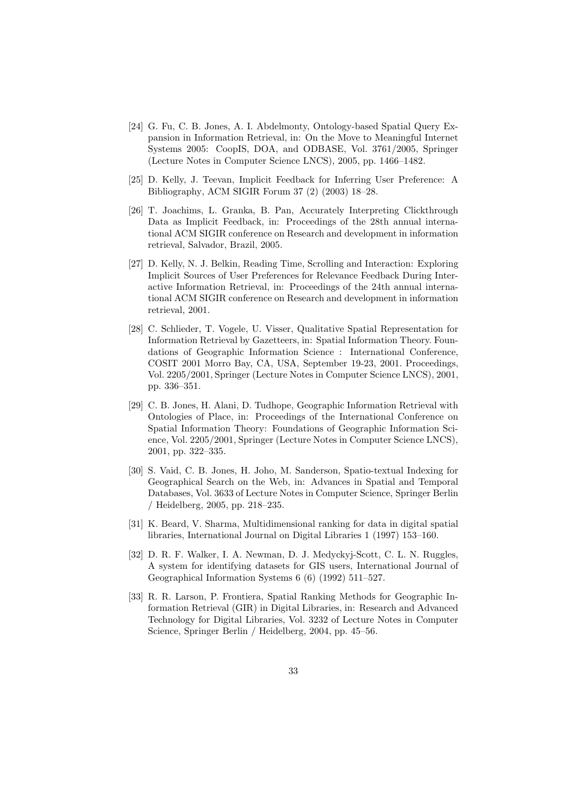- [24] G. Fu, C. B. Jones, A. I. Abdelmonty, Ontology-based Spatial Query Expansion in Information Retrieval, in: On the Move to Meaningful Internet Systems 2005: CoopIS, DOA, and ODBASE, Vol. 3761/2005, Springer (Lecture Notes in Computer Science LNCS), 2005, pp. 1466–1482.
- [25] D. Kelly, J. Teevan, Implicit Feedback for Inferring User Preference: A Bibliography, ACM SIGIR Forum 37 (2) (2003) 18–28.
- [26] T. Joachims, L. Granka, B. Pan, Accurately Interpreting Clickthrough Data as Implicit Feedback, in: Proceedings of the 28th annual international ACM SIGIR conference on Research and development in information retrieval, Salvador, Brazil, 2005.
- [27] D. Kelly, N. J. Belkin, Reading Time, Scrolling and Interaction: Exploring Implicit Sources of User Preferences for Relevance Feedback During Interactive Information Retrieval, in: Proceedings of the 24th annual international ACM SIGIR conference on Research and development in information retrieval, 2001.
- [28] C. Schlieder, T. Vogele, U. Visser, Qualitative Spatial Representation for Information Retrieval by Gazetteers, in: Spatial Information Theory. Foundations of Geographic Information Science : International Conference, COSIT 2001 Morro Bay, CA, USA, September 19-23, 2001. Proceedings, Vol. 2205/2001, Springer (Lecture Notes in Computer Science LNCS), 2001, pp. 336–351.
- [29] C. B. Jones, H. Alani, D. Tudhope, Geographic Information Retrieval with Ontologies of Place, in: Proceedings of the International Conference on Spatial Information Theory: Foundations of Geographic Information Science, Vol. 2205/2001, Springer (Lecture Notes in Computer Science LNCS), 2001, pp. 322–335.
- [30] S. Vaid, C. B. Jones, H. Joho, M. Sanderson, Spatio-textual Indexing for Geographical Search on the Web, in: Advances in Spatial and Temporal Databases, Vol. 3633 of Lecture Notes in Computer Science, Springer Berlin / Heidelberg, 2005, pp. 218–235.
- [31] K. Beard, V. Sharma, Multidimensional ranking for data in digital spatial libraries, International Journal on Digital Libraries 1 (1997) 153–160.
- [32] D. R. F. Walker, I. A. Newman, D. J. Medyckyj-Scott, C. L. N. Ruggles, A system for identifying datasets for GIS users, International Journal of Geographical Information Systems 6 (6) (1992) 511–527.
- [33] R. R. Larson, P. Frontiera, Spatial Ranking Methods for Geographic Information Retrieval (GIR) in Digital Libraries, in: Research and Advanced Technology for Digital Libraries, Vol. 3232 of Lecture Notes in Computer Science, Springer Berlin / Heidelberg, 2004, pp. 45–56.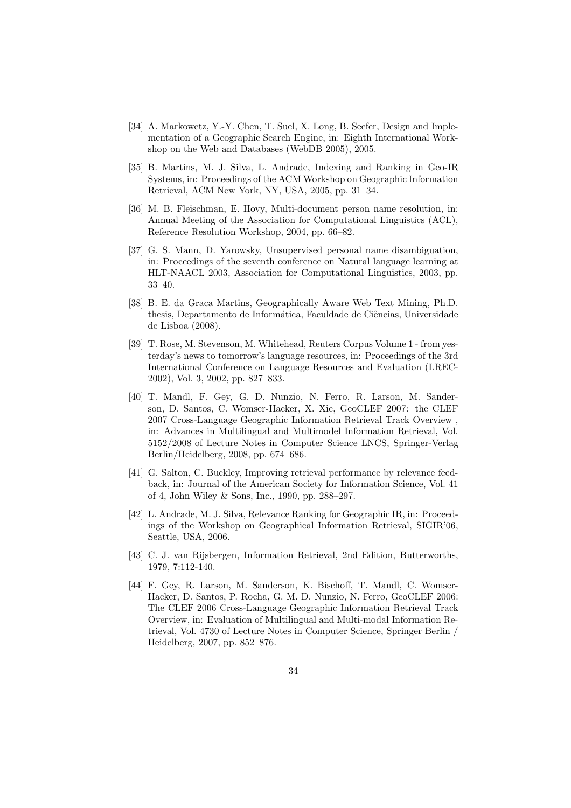- [34] A. Markowetz, Y.-Y. Chen, T. Suel, X. Long, B. Seefer, Design and Implementation of a Geographic Search Engine, in: Eighth International Workshop on the Web and Databases (WebDB 2005), 2005.
- [35] B. Martins, M. J. Silva, L. Andrade, Indexing and Ranking in Geo-IR Systems, in: Proceedings of the ACM Workshop on Geographic Information Retrieval, ACM New York, NY, USA, 2005, pp. 31–34.
- [36] M. B. Fleischman, E. Hovy, Multi-document person name resolution, in: Annual Meeting of the Association for Computational Linguistics (ACL), Reference Resolution Workshop, 2004, pp. 66–82.
- [37] G. S. Mann, D. Yarowsky, Unsupervised personal name disambiguation, in: Proceedings of the seventh conference on Natural language learning at HLT-NAACL 2003, Association for Computational Linguistics, 2003, pp. 33–40.
- [38] B. E. da Graca Martins, Geographically Aware Web Text Mining, Ph.D. thesis, Departamento de Informática, Faculdade de Ciências, Universidade de Lisboa (2008).
- [39] T. Rose, M. Stevenson, M. Whitehead, Reuters Corpus Volume 1 from yesterday's news to tomorrow's language resources, in: Proceedings of the 3rd International Conference on Language Resources and Evaluation (LREC-2002), Vol. 3, 2002, pp. 827–833.
- [40] T. Mandl, F. Gey, G. D. Nunzio, N. Ferro, R. Larson, M. Sanderson, D. Santos, C. Womser-Hacker, X. Xie, GeoCLEF 2007: the CLEF 2007 Cross-Language Geographic Information Retrieval Track Overview , in: Advances in Multilingual and Multimodel Information Retrieval, Vol. 5152/2008 of Lecture Notes in Computer Science LNCS, Springer-Verlag Berlin/Heidelberg, 2008, pp. 674–686.
- [41] G. Salton, C. Buckley, Improving retrieval performance by relevance feedback, in: Journal of the American Society for Information Science, Vol. 41 of 4, John Wiley & Sons, Inc., 1990, pp. 288–297.
- [42] L. Andrade, M. J. Silva, Relevance Ranking for Geographic IR, in: Proceedings of the Workshop on Geographical Information Retrieval, SIGIR'06, Seattle, USA, 2006.
- [43] C. J. van Rijsbergen, Information Retrieval, 2nd Edition, Butterworths, 1979, 7:112-140.
- [44] F. Gey, R. Larson, M. Sanderson, K. Bischoff, T. Mandl, C. Womser-Hacker, D. Santos, P. Rocha, G. M. D. Nunzio, N. Ferro, GeoCLEF 2006: The CLEF 2006 Cross-Language Geographic Information Retrieval Track Overview, in: Evaluation of Multilingual and Multi-modal Information Retrieval, Vol. 4730 of Lecture Notes in Computer Science, Springer Berlin / Heidelberg, 2007, pp. 852–876.